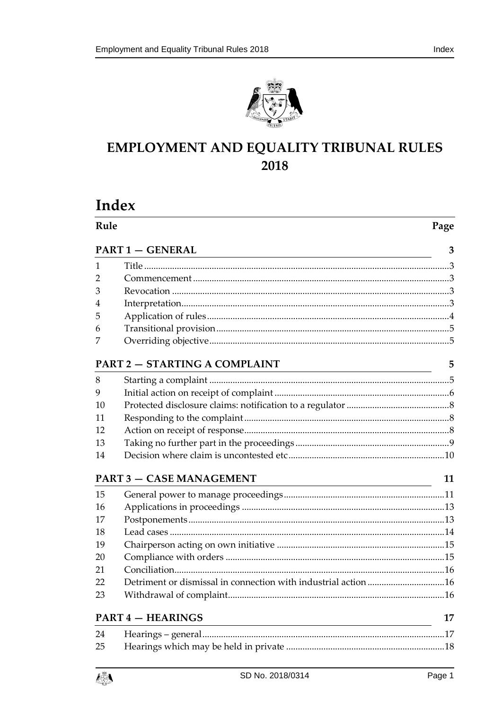



# EMPLOYMENT AND EQUALITY TRIBUNAL RULES 2018

# Index

| Rule |                                 | Page |
|------|---------------------------------|------|
|      | <b>PART 1 - GENERAL</b>         | 3    |
| 1    |                                 |      |
| 2    |                                 |      |
| 3    |                                 |      |
| 4    |                                 |      |
| 5    |                                 |      |
| 6    |                                 |      |
| 7    |                                 |      |
|      | PART 2 - STARTING A COMPLAINT   | 5    |
| 8    |                                 |      |
| 9    |                                 |      |
| 10   |                                 |      |
| 11   |                                 |      |
| 12   |                                 |      |
| 13   |                                 |      |
| 14   |                                 |      |
|      | <b>PART 3 - CASE MANAGEMENT</b> | 11   |
| 15   |                                 |      |
| 16   |                                 |      |
| 17   |                                 |      |
| 18   |                                 |      |
| 19   |                                 |      |
| 20   |                                 |      |
| 21   |                                 |      |
| 22   |                                 |      |
| 23   |                                 |      |
|      | <b>PART 4 - HEARINGS</b>        | 17   |
| 24   |                                 |      |
| 25   |                                 |      |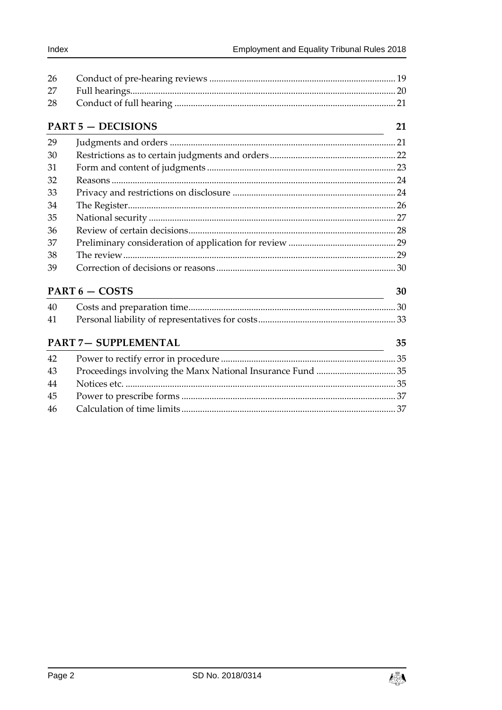| 26 |                                                                                                                                                    |    |
|----|----------------------------------------------------------------------------------------------------------------------------------------------------|----|
| 27 |                                                                                                                                                    |    |
| 28 |                                                                                                                                                    |    |
|    | <b>PART 5 - DECISIONS</b><br><u> 1989 - Johann Barn, mars ann an t-Amhain an t-Amhain an t-Amhain an t-Amhain an t-Amhain an t-Amhain an t-Amh</u> | 21 |
| 29 |                                                                                                                                                    |    |
| 30 |                                                                                                                                                    |    |
| 31 |                                                                                                                                                    |    |
| 32 |                                                                                                                                                    |    |
| 33 |                                                                                                                                                    |    |
| 34 |                                                                                                                                                    |    |
| 35 |                                                                                                                                                    |    |
| 36 |                                                                                                                                                    |    |
| 37 |                                                                                                                                                    |    |
| 38 |                                                                                                                                                    |    |
| 39 |                                                                                                                                                    |    |
|    | PART 6 - COSTS                                                                                                                                     | 30 |
| 40 |                                                                                                                                                    |    |
| 41 |                                                                                                                                                    |    |
|    | <b>PART 7- SUPPLEMENTAL</b>                                                                                                                        | 35 |
| 42 |                                                                                                                                                    |    |
| 43 | Proceedings involving the Manx National Insurance Fund 35                                                                                          |    |
| 44 |                                                                                                                                                    |    |
| 45 |                                                                                                                                                    |    |
| 46 |                                                                                                                                                    |    |

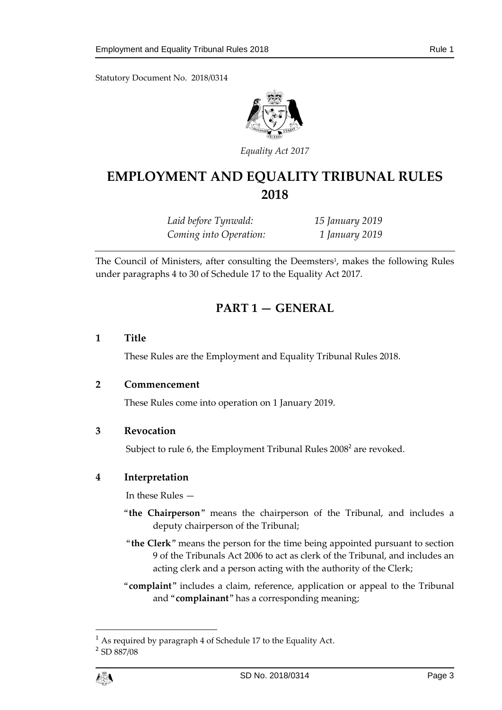Statutory Document No. 2018/0314



*Equality Act 2017*

# **EMPLOYMENT AND EQUALITY TRIBUNAL RULES 2018**

*Laid before Tynwald: 15 January 2019 Coming into Operation: 1 January 2019*

<span id="page-2-0"></span>The Council of Ministers, after consulting the Deemsters<sup>1</sup>, makes the following Rules under paragraphs 4 to 30 of Schedule 17 to the Equality Act 2017.

# **PART 1 — GENERAL**

#### <span id="page-2-1"></span>**1 Title**

These Rules are the Employment and Equality Tribunal Rules 2018.

#### <span id="page-2-2"></span>**2 Commencement**

These Rules come into operation on 1 January 2019.

#### <span id="page-2-3"></span>**3 Revocation**

Subject to rule [6,](#page-4-0) the Employment Tribunal Rules  $2008^2$  are revoked.

#### <span id="page-2-4"></span>**4 Interpretation**

In these Rules —

- "**the Chairperson**" means the chairperson of the Tribunal, and includes a deputy chairperson of the Tribunal;
- "**the Clerk**" means the person for the time being appointed pursuant to section 9 of the Tribunals Act 2006 to act as clerk of the Tribunal, and includes an acting clerk and a person acting with the authority of the Clerk;
- "**complaint**" includes a claim, reference, application or appeal to the Tribunal and "**complainant**" has a corresponding meaning;

 $\overline{a}$ 

<sup>1</sup> As required by paragraph 4 of Schedule 17 to the Equality Act.

<sup>2</sup> SD 887/08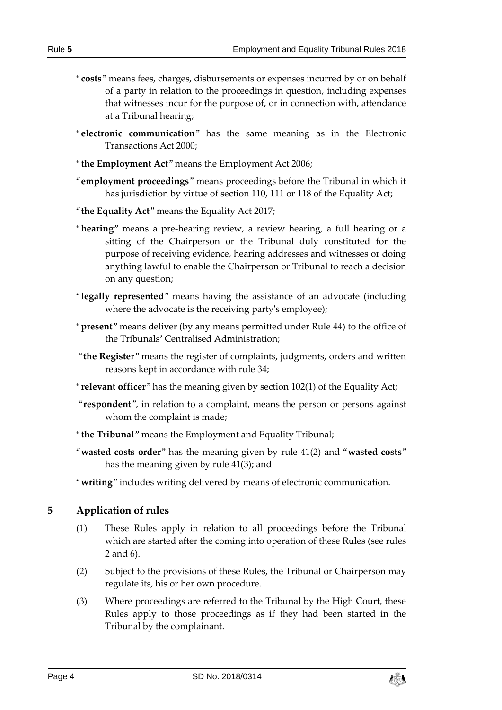- "**costs**" means fees, charges, disbursements or expenses incurred by or on behalf of a party in relation to the proceedings in question, including expenses that witnesses incur for the purpose of, or in connection with, attendance at a Tribunal hearing;
- "**electronic communication**" has the same meaning as in the Electronic Transactions Act 2000;
- "**the Employment Act**" means the Employment Act 2006;
- "**employment proceedings**" means proceedings before the Tribunal in which it has jurisdiction by virtue of section 110, 111 or 118 of the Equality Act;
- "**the Equality Act**" means the Equality Act 2017;
- "**hearing**" means a pre-hearing review, a review hearing, a full hearing or a sitting of the Chairperson or the Tribunal duly constituted for the purpose of receiving evidence, hearing addresses and witnesses or doing anything lawful to enable the Chairperson or Tribunal to reach a decision on any question;
- "**legally represented**" means having the assistance of an advocate (including where the advocate is the receiving party's employee);
- "**present**" means deliver (by any means permitted under Rule [44\)](#page-34-3) to the office of the Tribunals' Centralised Administration;
- "**the Register**" means the register of complaints, judgments, orders and written reasons kept in accordance with rule [34;](#page-25-0)
- "**relevant officer**" has the meaning given by section 102(1) of the Equality Act;
- "**respondent**", in relation to a complaint, means the person or persons against whom the complaint is made;
- "**the Tribunal**" means the Employment and Equality Tribunal;
- "**wasted costs order**" has the meaning given by rule [41\(](#page-32-0)2) and "**wasted costs**" has the meaning given by rule [41\(](#page-32-0)3); and
- "**writing**" includes writing delivered by means of electronic communication.

#### <span id="page-3-0"></span>**5 Application of rules**

- (1) These Rules apply in relation to all proceedings before the Tribunal which are started after the coming into operation of these Rules (see rules [2](#page-2-2) and [6\)](#page-4-0).
- (2) Subject to the provisions of these Rules, the Tribunal or Chairperson may regulate its, his or her own procedure.
- (3) Where proceedings are referred to the Tribunal by the High Court, these Rules apply to those proceedings as if they had been started in the Tribunal by the complainant.

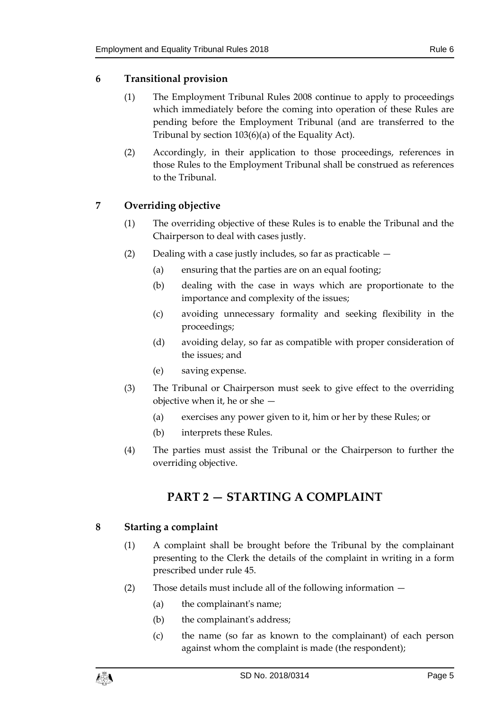# <span id="page-4-0"></span>**6 Transitional provision**

- (1) The Employment Tribunal Rules 2008 continue to apply to proceedings which immediately before the coming into operation of these Rules are pending before the Employment Tribunal (and are transferred to the Tribunal by section 103(6)(a) of the Equality Act).
- (2) Accordingly, in their application to those proceedings, references in those Rules to the Employment Tribunal shall be construed as references to the Tribunal.

# <span id="page-4-1"></span>**7 Overriding objective**

- (1) The overriding objective of these Rules is to enable the Tribunal and the Chairperson to deal with cases justly.
- (2) Dealing with a case justly includes, so far as practicable  $-$ 
	- (a) ensuring that the parties are on an equal footing;
	- (b) dealing with the case in ways which are proportionate to the importance and complexity of the issues;
	- (c) avoiding unnecessary formality and seeking flexibility in the proceedings;
	- (d) avoiding delay, so far as compatible with proper consideration of the issues; and
	- (e) saving expense.
- (3) The Tribunal or Chairperson must seek to give effect to the overriding objective when it, he or she —
	- (a) exercises any power given to it, him or her by these Rules; or
	- (b) interprets these Rules.
- <span id="page-4-2"></span>(4) The parties must assist the Tribunal or the Chairperson to further the overriding objective.

# **PART 2 — STARTING A COMPLAINT**

# <span id="page-4-3"></span>**8 Starting a complaint**

- (1) A complaint shall be brought before the Tribunal by the complainant presenting to the Clerk the details of the complaint in writing in a form prescribed under rule [45.](#page-36-0)
- (2) Those details must include all of the following information
	- (a) the complainant's name;
	- (b) the complainant's address;
	- (c) the name (so far as known to the complainant) of each person against whom the complaint is made (the respondent);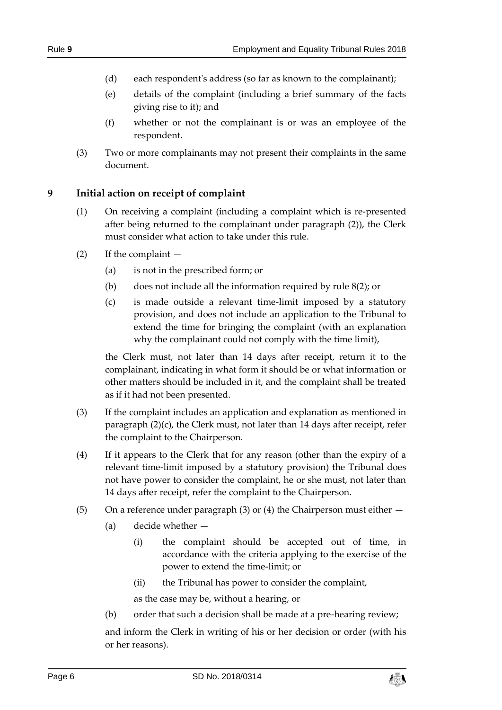- (d) each respondent's address (so far as known to the complainant);
- (e) details of the complaint (including a brief summary of the facts giving rise to it); and
- (f) whether or not the complainant is or was an employee of the respondent.
- (3) Two or more complainants may not present their complaints in the same document.

#### <span id="page-5-0"></span>**9 Initial action on receipt of complaint**

- (1) On receiving a complaint (including a complaint which is re-presented after being returned to the complainant under paragraph (2)), the Clerk must consider what action to take under this rule.
- (2) If the complaint
	- (a) is not in the prescribed form; or
	- (b) does not include all the information required by rule [8\(](#page-4-3)2); or
	- (c) is made outside a relevant time-limit imposed by a statutory provision, and does not include an application to the Tribunal to extend the time for bringing the complaint (with an explanation why the complainant could not comply with the time limit),

the Clerk must, not later than 14 days after receipt, return it to the complainant, indicating in what form it should be or what information or other matters should be included in it, and the complaint shall be treated as if it had not been presented.

- (3) If the complaint includes an application and explanation as mentioned in paragraph (2)(c), the Clerk must, not later than 14 days after receipt, refer the complaint to the Chairperson.
- (4) If it appears to the Clerk that for any reason (other than the expiry of a relevant time-limit imposed by a statutory provision) the Tribunal does not have power to consider the complaint, he or she must, not later than 14 days after receipt, refer the complaint to the Chairperson.
- (5) On a reference under paragraph (3) or (4) the Chairperson must either  $-$ 
	- (a) decide whether
		- (i) the complaint should be accepted out of time, in accordance with the criteria applying to the exercise of the power to extend the time-limit; or
		- (ii) the Tribunal has power to consider the complaint,

as the case may be, without a hearing, or

(b) order that such a decision shall be made at a pre-hearing review;

and inform the Clerk in writing of his or her decision or order (with his or her reasons).

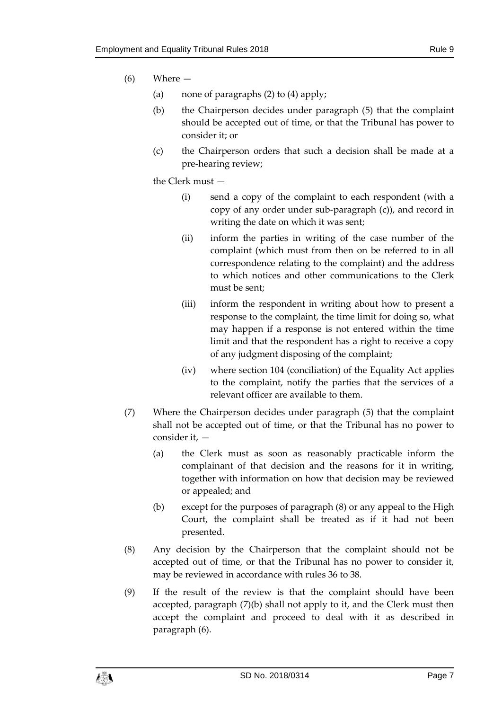- (6) Where
	- (a) none of paragraphs (2) to (4) apply;
	- (b) the Chairperson decides under paragraph (5) that the complaint should be accepted out of time, or that the Tribunal has power to consider it; or
	- (c) the Chairperson orders that such a decision shall be made at a pre-hearing review;

the Clerk must —

- (i) send a copy of the complaint to each respondent (with a copy of any order under sub-paragraph (c)), and record in writing the date on which it was sent;
- (ii) inform the parties in writing of the case number of the complaint (which must from then on be referred to in all correspondence relating to the complaint) and the address to which notices and other communications to the Clerk must be sent;
- (iii) inform the respondent in writing about how to present a response to the complaint, the time limit for doing so, what may happen if a response is not entered within the time limit and that the respondent has a right to receive a copy of any judgment disposing of the complaint;
- (iv) where section 104 (conciliation) of the Equality Act applies to the complaint, notify the parties that the services of a relevant officer are available to them.
- (7) Where the Chairperson decides under paragraph (5) that the complaint shall not be accepted out of time, or that the Tribunal has no power to consider it, —
	- (a) the Clerk must as soon as reasonably practicable inform the complainant of that decision and the reasons for it in writing, together with information on how that decision may be reviewed or appealed; and
	- (b) except for the purposes of paragraph (8) or any appeal to the High Court, the complaint shall be treated as if it had not been presented.
- (8) Any decision by the Chairperson that the complaint should not be accepted out of time, or that the Tribunal has no power to consider it, may be reviewed in accordance with rules [36](#page-27-0) to [38.](#page-28-1)
- (9) If the result of the review is that the complaint should have been accepted, paragraph (7)(b) shall not apply to it, and the Clerk must then accept the complaint and proceed to deal with it as described in paragraph (6).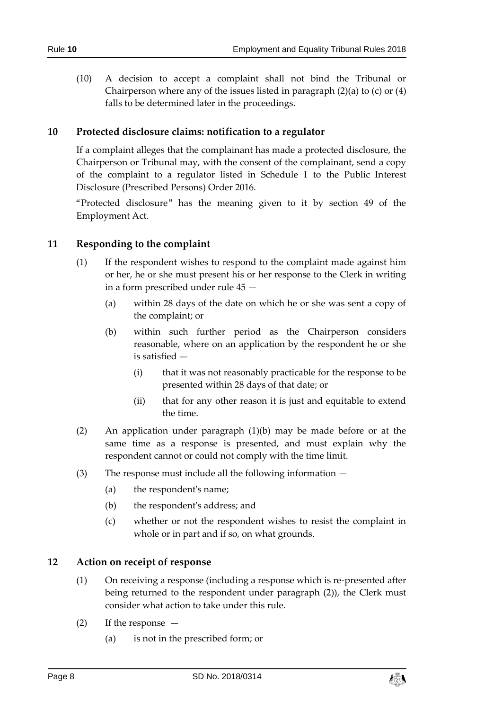(10) A decision to accept a complaint shall not bind the Tribunal or Chairperson where any of the issues listed in paragraph (2)(a) to (c) or (4) falls to be determined later in the proceedings.

## <span id="page-7-0"></span>**10 Protected disclosure claims: notification to a regulator**

If a complaint alleges that the complainant has made a protected disclosure, the Chairperson or Tribunal may, with the consent of the complainant, send a copy of the complaint to a regulator listed in Schedule 1 to the Public Interest Disclosure (Prescribed Persons) Order 2016.

"Protected disclosure" has the meaning given to it by section 49 of the Employment Act.

#### <span id="page-7-1"></span>**11 Responding to the complaint**

- (1) If the respondent wishes to respond to the complaint made against him or her, he or she must present his or her response to the Clerk in writing in a form prescribed under rule [45](#page-36-0) —
	- (a) within 28 days of the date on which he or she was sent a copy of the complaint; or
	- (b) within such further period as the Chairperson considers reasonable, where on an application by the respondent he or she is satisfied —
		- (i) that it was not reasonably practicable for the response to be presented within 28 days of that date; or
		- (ii) that for any other reason it is just and equitable to extend the time.
- (2) An application under paragraph (1)(b) may be made before or at the same time as a response is presented, and must explain why the respondent cannot or could not comply with the time limit.
- (3) The response must include all the following information
	- (a) the respondent's name;
	- (b) the respondent's address; and
	- (c) whether or not the respondent wishes to resist the complaint in whole or in part and if so, on what grounds.

#### <span id="page-7-2"></span>**12 Action on receipt of response**

- (1) On receiving a response (including a response which is re-presented after being returned to the respondent under paragraph (2)), the Clerk must consider what action to take under this rule.
- (2) If the response
	- (a) is not in the prescribed form; or

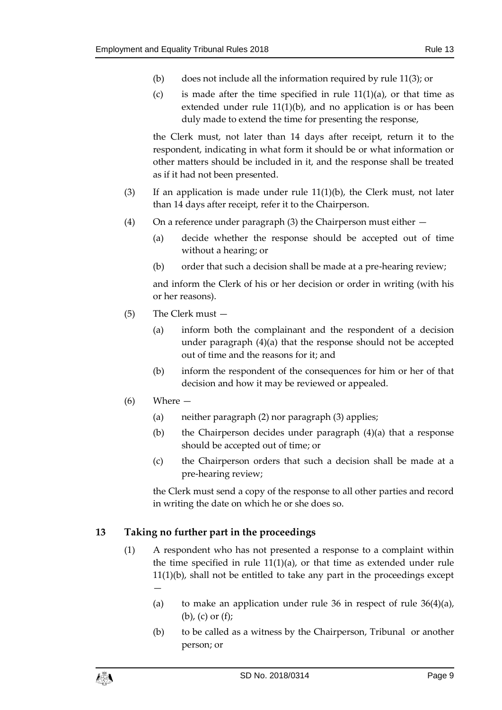- (b) does not include all the information required by rule [11\(](#page-7-1)3); or
- (c) is made after the time specified in rule  $11(1)(a)$ , or that time as extended under rule [11\(](#page-7-1)1)(b), and no application is or has been duly made to extend the time for presenting the response,

the Clerk must, not later than 14 days after receipt, return it to the respondent, indicating in what form it should be or what information or other matters should be included in it, and the response shall be treated as if it had not been presented.

- (3) If an application is made under rule  $11(1)(b)$ , the Clerk must, not later than 14 days after receipt, refer it to the Chairperson.
- (4) On a reference under paragraph (3) the Chairperson must either
	- (a) decide whether the response should be accepted out of time without a hearing; or
	- (b) order that such a decision shall be made at a pre-hearing review;

and inform the Clerk of his or her decision or order in writing (with his or her reasons).

- (5) The Clerk must
	- (a) inform both the complainant and the respondent of a decision under paragraph (4)(a) that the response should not be accepted out of time and the reasons for it; and
	- (b) inform the respondent of the consequences for him or her of that decision and how it may be reviewed or appealed.
- (6) Where
	- (a) neither paragraph (2) nor paragraph (3) applies;
	- (b) the Chairperson decides under paragraph (4)(a) that a response should be accepted out of time; or
	- (c) the Chairperson orders that such a decision shall be made at a pre-hearing review;

the Clerk must send a copy of the response to all other parties and record in writing the date on which he or she does so.

#### <span id="page-8-0"></span>**13 Taking no further part in the proceedings**

- (1) A respondent who has not presented a response to a complaint within the time specified in rule  $11(1)(a)$ , or that time as extended under rule [11\(](#page-7-1)1)(b), shall not be entitled to take any part in the proceedings except —
	- (a) to make an application under rule [36](#page-27-0) in respect of rule  $36(4)(a)$ , (b), (c) or (f);
	- (b) to be called as a witness by the Chairperson, Tribunal or another person; or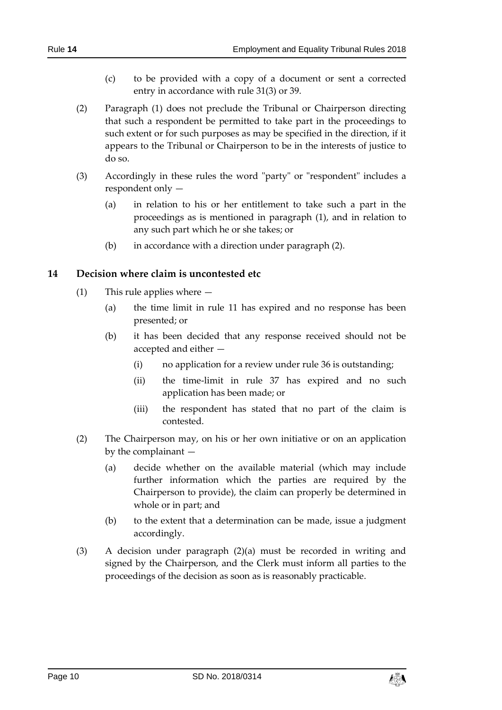- (c) to be provided with a copy of a document or sent a corrected entry in accordance with rule [31\(](#page-22-0)3) or [39.](#page-29-0)
- (2) Paragraph (1) does not preclude the Tribunal or Chairperson directing that such a respondent be permitted to take part in the proceedings to such extent or for such purposes as may be specified in the direction, if it appears to the Tribunal or Chairperson to be in the interests of justice to do so.
- (3) Accordingly in these rules the word "party" or "respondent" includes a respondent only —
	- (a) in relation to his or her entitlement to take such a part in the proceedings as is mentioned in paragraph (1), and in relation to any such part which he or she takes; or
	- (b) in accordance with a direction under paragraph (2).

# <span id="page-9-0"></span>**14 Decision where claim is uncontested etc**

- (1) This rule applies where
	- (a) the time limit in rule [11](#page-7-1) has expired and no response has been presented; or
	- (b) it has been decided that any response received should not be accepted and either -
		- (i) no application for a review under rule [36](#page-27-0) is outstanding;
		- (ii) the time-limit in rule [37](#page-28-0) has expired and no such application has been made; or
		- (iii) the respondent has stated that no part of the claim is contested.
- (2) The Chairperson may, on his or her own initiative or on an application by the complainant —
	- (a) decide whether on the available material (which may include further information which the parties are required by the Chairperson to provide), the claim can properly be determined in whole or in part; and
	- (b) to the extent that a determination can be made, issue a judgment accordingly.
- (3) A decision under paragraph (2)(a) must be recorded in writing and signed by the Chairperson, and the Clerk must inform all parties to the proceedings of the decision as soon as is reasonably practicable.

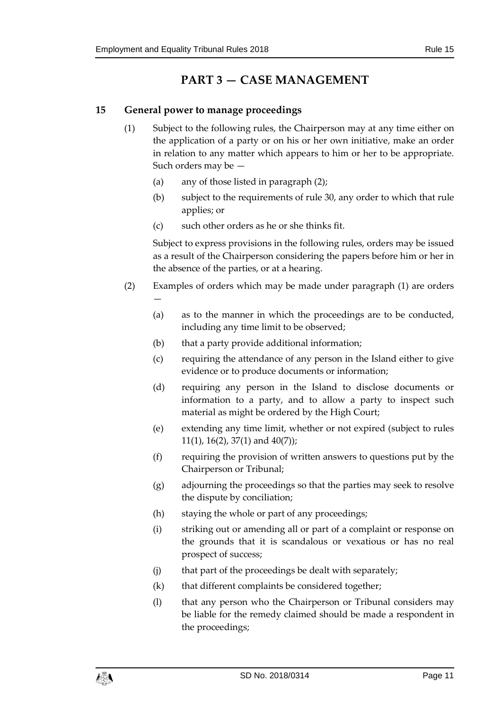# **PART 3 — CASE MANAGEMENT**

# <span id="page-10-1"></span><span id="page-10-0"></span>**15 General power to manage proceedings**

- (1) Subject to the following rules, the Chairperson may at any time either on the application of a party or on his or her own initiative, make an order in relation to any matter which appears to him or her to be appropriate. Such orders may be —
	- (a) any of those listed in paragraph (2);
	- (b) subject to the requirements of rule [30,](#page-21-0) any order to which that rule applies; or
	- (c) such other orders as he or she thinks fit.

Subject to express provisions in the following rules, orders may be issued as a result of the Chairperson considering the papers before him or her in the absence of the parties, or at a hearing.

- (2) Examples of orders which may be made under paragraph (1) are orders —
	- (a) as to the manner in which the proceedings are to be conducted, including any time limit to be observed;
	- (b) that a party provide additional information;
	- (c) requiring the attendance of any person in the Island either to give evidence or to produce documents or information;
	- (d) requiring any person in the Island to disclose documents or information to a party, and to allow a party to inspect such material as might be ordered by the High Court;
	- (e) extending any time limit, whether or not expired (subject to rules [11\(](#page-7-1)1), [16\(](#page-12-0)2), [37\(](#page-28-0)1) and [40\(](#page-29-2)7));
	- (f) requiring the provision of written answers to questions put by the Chairperson or Tribunal;
	- (g) adjourning the proceedings so that the parties may seek to resolve the dispute by conciliation;
	- (h) staying the whole or part of any proceedings;
	- (i) striking out or amending all or part of a complaint or response on the grounds that it is scandalous or vexatious or has no real prospect of success;
	- (j) that part of the proceedings be dealt with separately;
	- (k) that different complaints be considered together;
	- (l) that any person who the Chairperson or Tribunal considers may be liable for the remedy claimed should be made a respondent in the proceedings;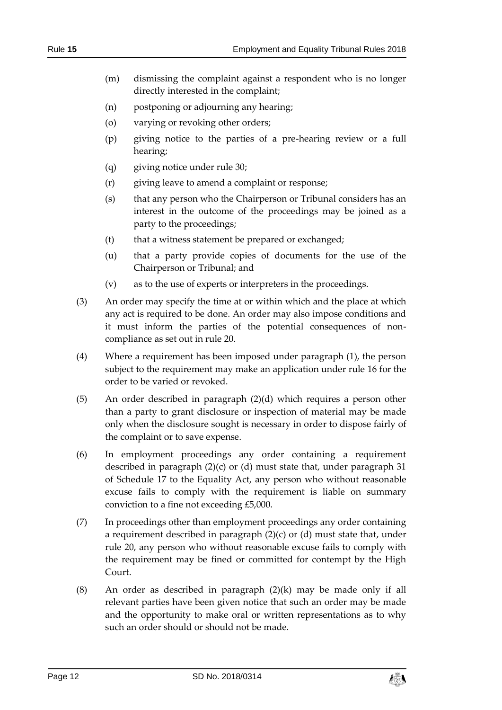- (m) dismissing the complaint against a respondent who is no longer directly interested in the complaint;
- (n) postponing or adjourning any hearing;
- (o) varying or revoking other orders;
- (p) giving notice to the parties of a pre-hearing review or a full hearing;
- (q) giving notice under rule [30;](#page-21-0)
- (r) giving leave to amend a complaint or response;
- (s) that any person who the Chairperson or Tribunal considers has an interest in the outcome of the proceedings may be joined as a party to the proceedings;
- (t) that a witness statement be prepared or exchanged;
- (u) that a party provide copies of documents for the use of the Chairperson or Tribunal; and
- (v) as to the use of experts or interpreters in the proceedings.
- (3) An order may specify the time at or within which and the place at which any act is required to be done. An order may also impose conditions and it must inform the parties of the potential consequences of noncompliance as set out in rule [20.](#page-14-1)
- (4) Where a requirement has been imposed under paragraph (1), the person subject to the requirement may make an application under rule [16](#page-12-0) for the order to be varied or revoked.
- (5) An order described in paragraph (2)(d) which requires a person other than a party to grant disclosure or inspection of material may be made only when the disclosure sought is necessary in order to dispose fairly of the complaint or to save expense.
- (6) In employment proceedings any order containing a requirement described in paragraph (2)(c) or (d) must state that, under paragraph 31 of Schedule 17 to the Equality Act, any person who without reasonable excuse fails to comply with the requirement is liable on summary conviction to a fine not exceeding £5,000.
- (7) In proceedings other than employment proceedings any order containing a requirement described in paragraph (2)(c) or (d) must state that, under rule [20,](#page-14-1) any person who without reasonable excuse fails to comply with the requirement may be fined or committed for contempt by the High Court.
- (8) An order as described in paragraph  $(2)(k)$  may be made only if all relevant parties have been given notice that such an order may be made and the opportunity to make oral or written representations as to why such an order should or should not be made.

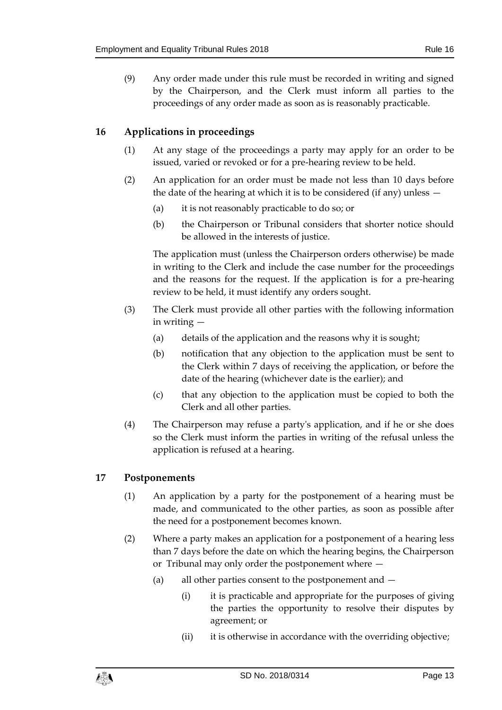(9) Any order made under this rule must be recorded in writing and signed by the Chairperson, and the Clerk must inform all parties to the proceedings of any order made as soon as is reasonably practicable.

# <span id="page-12-0"></span>**16 Applications in proceedings**

- (1) At any stage of the proceedings a party may apply for an order to be issued, varied or revoked or for a pre-hearing review to be held.
- (2) An application for an order must be made not less than 10 days before the date of the hearing at which it is to be considered (if any) unless —
	- (a) it is not reasonably practicable to do so; or
	- (b) the Chairperson or Tribunal considers that shorter notice should be allowed in the interests of justice.

The application must (unless the Chairperson orders otherwise) be made in writing to the Clerk and include the case number for the proceedings and the reasons for the request. If the application is for a pre-hearing review to be held, it must identify any orders sought.

- (3) The Clerk must provide all other parties with the following information in writing —
	- (a) details of the application and the reasons why it is sought;
	- (b) notification that any objection to the application must be sent to the Clerk within 7 days of receiving the application, or before the date of the hearing (whichever date is the earlier); and
	- (c) that any objection to the application must be copied to both the Clerk and all other parties.
- (4) The Chairperson may refuse a party's application, and if he or she does so the Clerk must inform the parties in writing of the refusal unless the application is refused at a hearing.

# <span id="page-12-1"></span>**17 Postponements**

- (1) An application by a party for the postponement of a hearing must be made, and communicated to the other parties, as soon as possible after the need for a postponement becomes known.
- (2) Where a party makes an application for a postponement of a hearing less than 7 days before the date on which the hearing begins, the Chairperson or Tribunal may only order the postponement where —
	- (a) all other parties consent to the postponement and
		- (i) it is practicable and appropriate for the purposes of giving the parties the opportunity to resolve their disputes by agreement; or
		- (ii) it is otherwise in accordance with the overriding objective;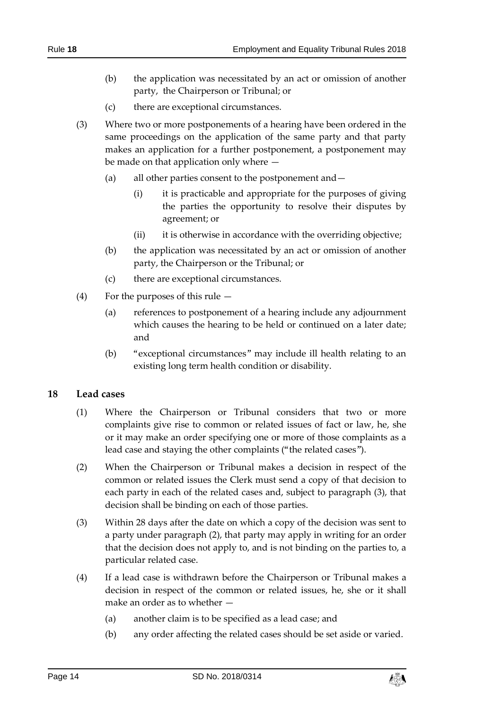- (b) the application was necessitated by an act or omission of another
	- party, the Chairperson or Tribunal; or
	- (c) there are exceptional circumstances.
- (3) Where two or more postponements of a hearing have been ordered in the same proceedings on the application of the same party and that party makes an application for a further postponement, a postponement may be made on that application only where —
	- (a) all other parties consent to the postponement and—
		- (i) it is practicable and appropriate for the purposes of giving the parties the opportunity to resolve their disputes by agreement; or
		- (ii) it is otherwise in accordance with the overriding objective;
	- (b) the application was necessitated by an act or omission of another party, the Chairperson or the Tribunal; or
	- (c) there are exceptional circumstances.
- (4) For the purposes of this rule
	- (a) references to postponement of a hearing include any adjournment which causes the hearing to be held or continued on a later date; and
	- (b) "exceptional circumstances" may include ill health relating to an existing long term health condition or disability.

# <span id="page-13-0"></span>**18 Lead cases**

- (1) Where the Chairperson or Tribunal considers that two or more complaints give rise to common or related issues of fact or law, he, she or it may make an order specifying one or more of those complaints as a lead case and staying the other complaints ("the related cases").
- (2) When the Chairperson or Tribunal makes a decision in respect of the common or related issues the Clerk must send a copy of that decision to each party in each of the related cases and, subject to paragraph (3), that decision shall be binding on each of those parties.
- (3) Within 28 days after the date on which a copy of the decision was sent to a party under paragraph (2), that party may apply in writing for an order that the decision does not apply to, and is not binding on the parties to, a particular related case.
- (4) If a lead case is withdrawn before the Chairperson or Tribunal makes a decision in respect of the common or related issues, he, she or it shall make an order as to whether —
	- (a) another claim is to be specified as a lead case; and
	- (b) any order affecting the related cases should be set aside or varied.

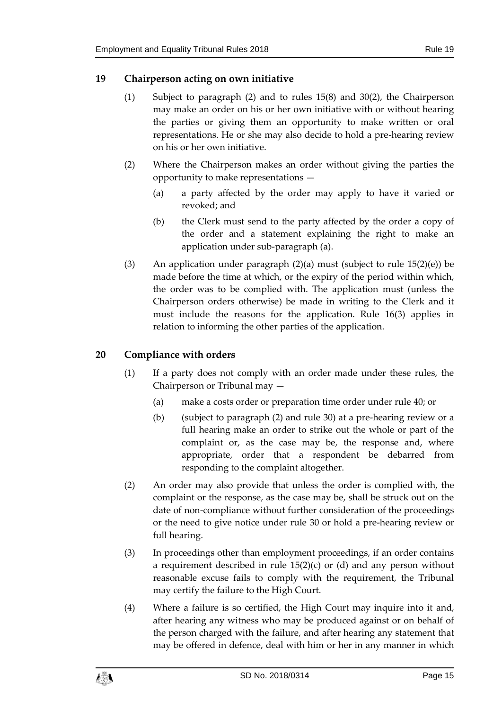#### <span id="page-14-0"></span>**19 Chairperson acting on own initiative**

- (1) Subject to paragraph (2) and to rules [15\(](#page-10-1)8) and [30\(](#page-21-0)2), the Chairperson may make an order on his or her own initiative with or without hearing the parties or giving them an opportunity to make written or oral representations. He or she may also decide to hold a pre-hearing review on his or her own initiative.
- (2) Where the Chairperson makes an order without giving the parties the opportunity to make representations —
	- (a) a party affected by the order may apply to have it varied or revoked; and
	- (b) the Clerk must send to the party affected by the order a copy of the order and a statement explaining the right to make an application under sub-paragraph (a).
- (3) An application under paragraph  $(2)(a)$  must (subject to rule [15\(](#page-10-1)2)(e)) be made before the time at which, or the expiry of the period within which, the order was to be complied with. The application must (unless the Chairperson orders otherwise) be made in writing to the Clerk and it must include the reasons for the application. Rule [16\(](#page-12-0)3) applies in relation to informing the other parties of the application.

# <span id="page-14-1"></span>**20 Compliance with orders**

- (1) If a party does not comply with an order made under these rules, the Chairperson or Tribunal may —
	- (a) make a costs order or preparation time order under rule [40;](#page-29-2) or
	- (b) (subject to paragraph (2) and rule [30\)](#page-21-0) at a pre-hearing review or a full hearing make an order to strike out the whole or part of the complaint or, as the case may be, the response and, where appropriate, order that a respondent be debarred from responding to the complaint altogether.
- (2) An order may also provide that unless the order is complied with, the complaint or the response, as the case may be, shall be struck out on the date of non-compliance without further consideration of the proceedings or the need to give notice under rule [30](#page-21-0) or hold a pre-hearing review or full hearing.
- (3) In proceedings other than employment proceedings, if an order contains a requirement described in rule  $15(2)(c)$  or (d) and any person without reasonable excuse fails to comply with the requirement, the Tribunal may certify the failure to the High Court.
- (4) Where a failure is so certified, the High Court may inquire into it and, after hearing any witness who may be produced against or on behalf of the person charged with the failure, and after hearing any statement that may be offered in defence, deal with him or her in any manner in which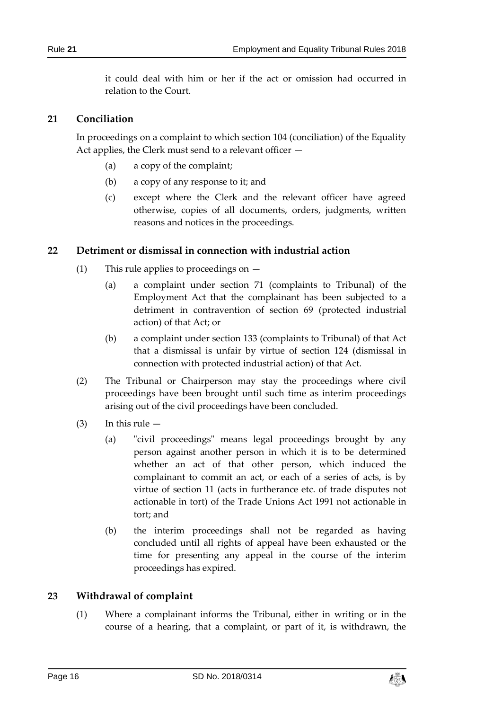it could deal with him or her if the act or omission had occurred in relation to the Court.

#### <span id="page-15-0"></span>**21 Conciliation**

In proceedings on a complaint to which section 104 (conciliation) of the Equality Act applies, the Clerk must send to a relevant officer —

- (a) a copy of the complaint;
- (b) a copy of any response to it; and
- (c) except where the Clerk and the relevant officer have agreed otherwise, copies of all documents, orders, judgments, written reasons and notices in the proceedings.

#### <span id="page-15-1"></span>**22 Detriment or dismissal in connection with industrial action**

- (1) This rule applies to proceedings on
	- (a) a complaint under section 71 (complaints to Tribunal) of the Employment Act that the complainant has been subjected to a detriment in contravention of section 69 (protected industrial action) of that Act; or
	- (b) a complaint under section 133 (complaints to Tribunal) of that Act that a dismissal is unfair by virtue of section 124 (dismissal in connection with protected industrial action) of that Act.
- (2) The Tribunal or Chairperson may stay the proceedings where civil proceedings have been brought until such time as interim proceedings arising out of the civil proceedings have been concluded.
- $(3)$  In this rule  $-$ 
	- (a) "civil proceedings" means legal proceedings brought by any person against another person in which it is to be determined whether an act of that other person, which induced the complainant to commit an act, or each of a series of acts, is by virtue of section 11 (acts in furtherance etc. of trade disputes not actionable in tort) of the Trade Unions Act 1991 not actionable in tort; and
	- (b) the interim proceedings shall not be regarded as having concluded until all rights of appeal have been exhausted or the time for presenting any appeal in the course of the interim proceedings has expired.

#### <span id="page-15-2"></span>**23 Withdrawal of complaint**

(1) Where a complainant informs the Tribunal, either in writing or in the course of a hearing, that a complaint, or part of it, is withdrawn, the

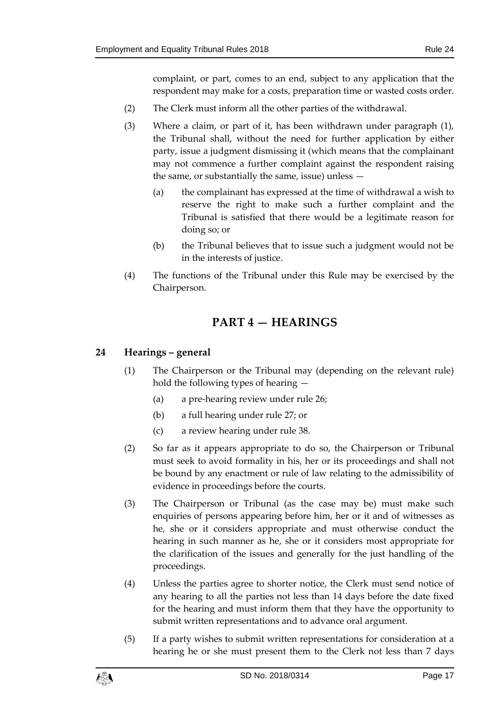complaint, or part, comes to an end, subject to any application that the respondent may make for a costs, preparation time or wasted costs order.

- (2) The Clerk must inform all the other parties of the withdrawal.
- (3) Where a claim, or part of it, has been withdrawn under paragraph (1), the Tribunal shall, without the need for further application by either party, issue a judgment dismissing it (which means that the complainant may not commence a further complaint against the respondent raising the same, or substantially the same, issue) unless —
	- (a) the complainant has expressed at the time of withdrawal a wish to reserve the right to make such a further complaint and the Tribunal is satisfied that there would be a legitimate reason for doing so; or
	- (b) the Tribunal believes that to issue such a judgment would not be in the interests of justice.
- <span id="page-16-0"></span>(4) The functions of the Tribunal under this Rule may be exercised by the Chairperson.

# **PART 4 — HEARINGS**

## <span id="page-16-2"></span><span id="page-16-1"></span>**24 Hearings – general**

- (1) The Chairperson or the Tribunal may (depending on the relevant rule) hold the following types of hearing —
	- (a) a pre-hearing review under rule [26;](#page-18-0)
	- (b) a full hearing under rule [27;](#page-19-0) or
	- (c) a review hearing under rule [38.](#page-28-1)
- (2) So far as it appears appropriate to do so, the Chairperson or Tribunal must seek to avoid formality in his, her or its proceedings and shall not be bound by any enactment or rule of law relating to the admissibility of evidence in proceedings before the courts.
- (3) The Chairperson or Tribunal (as the case may be) must make such enquiries of persons appearing before him, her or it and of witnesses as he, she or it considers appropriate and must otherwise conduct the hearing in such manner as he, she or it considers most appropriate for the clarification of the issues and generally for the just handling of the proceedings.
- (4) Unless the parties agree to shorter notice, the Clerk must send notice of any hearing to all the parties not less than 14 days before the date fixed for the hearing and must inform them that they have the opportunity to submit written representations and to advance oral argument.
- (5) If a party wishes to submit written representations for consideration at a hearing he or she must present them to the Clerk not less than 7 days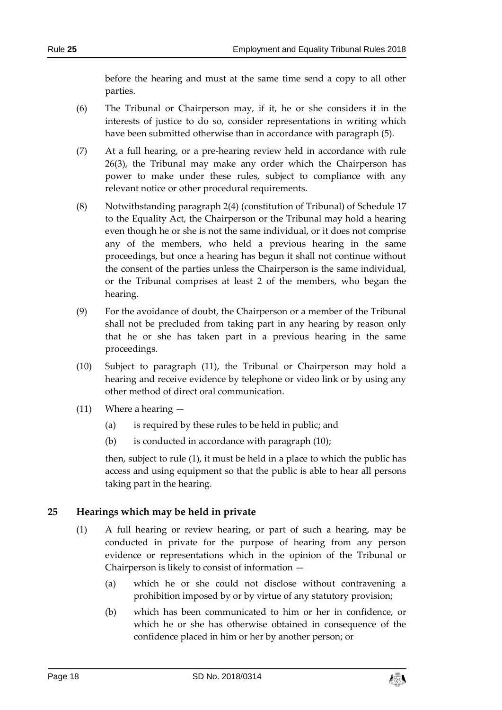before the hearing and must at the same time send a copy to all other parties.

- (6) The Tribunal or Chairperson may, if it, he or she considers it in the interests of justice to do so, consider representations in writing which have been submitted otherwise than in accordance with paragraph (5).
- (7) At a full hearing, or a pre-hearing review held in accordance with rule [26\(](#page-18-0)3), the Tribunal may make any order which the Chairperson has power to make under these rules, subject to compliance with any relevant notice or other procedural requirements.
- (8) Notwithstanding paragraph 2(4) (constitution of Tribunal) of Schedule 17 to the Equality Act, the Chairperson or the Tribunal may hold a hearing even though he or she is not the same individual, or it does not comprise any of the members, who held a previous hearing in the same proceedings, but once a hearing has begun it shall not continue without the consent of the parties unless the Chairperson is the same individual, or the Tribunal comprises at least 2 of the members, who began the hearing.
- (9) For the avoidance of doubt, the Chairperson or a member of the Tribunal shall not be precluded from taking part in any hearing by reason only that he or she has taken part in a previous hearing in the same proceedings.
- (10) Subject to paragraph (11), the Tribunal or Chairperson may hold a hearing and receive evidence by telephone or video link or by using any other method of direct oral communication.
- (11) Where a hearing
	- (a) is required by these rules to be held in public; and
	- (b) is conducted in accordance with paragraph (10);

then, subject to rule [\(1\),](#page-16-2) it must be held in a place to which the public has access and using equipment so that the public is able to hear all persons taking part in the hearing.

# <span id="page-17-0"></span>**25 Hearings which may be held in private**

- (1) A full hearing or review hearing, or part of such a hearing, may be conducted in private for the purpose of hearing from any person evidence or representations which in the opinion of the Tribunal or Chairperson is likely to consist of information —
	- (a) which he or she could not disclose without contravening a prohibition imposed by or by virtue of any statutory provision;
	- (b) which has been communicated to him or her in confidence, or which he or she has otherwise obtained in consequence of the confidence placed in him or her by another person; or

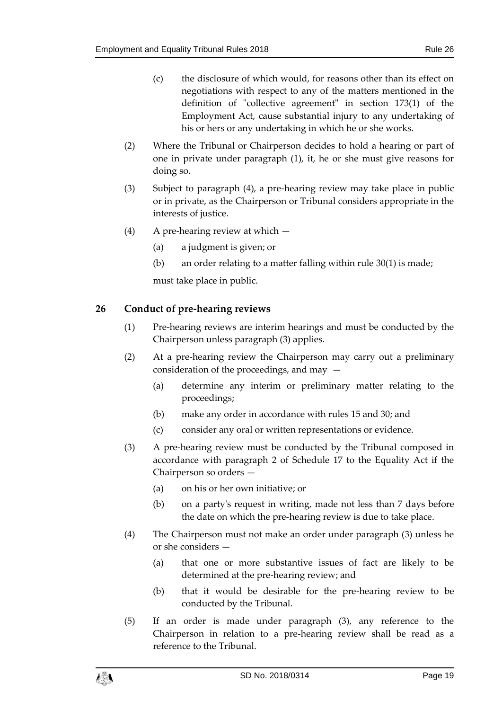- (c) the disclosure of which would, for reasons other than its effect on negotiations with respect to any of the matters mentioned in the definition of "collective agreement" in section 173(1) of the Employment Act, cause substantial injury to any undertaking of his or hers or any undertaking in which he or she works.
- (2) Where the Tribunal or Chairperson decides to hold a hearing or part of one in private under paragraph (1), it, he or she must give reasons for doing so.
- (3) Subject to paragraph (4), a pre-hearing review may take place in public or in private, as the Chairperson or Tribunal considers appropriate in the interests of justice.
- (4) A pre-hearing review at which
	- (a) a judgment is given; or
	- (b) an order relating to a matter falling within rule [30\(](#page-21-0)1) is made;

must take place in public.

## <span id="page-18-0"></span>**26 Conduct of pre-hearing reviews**

- (1) Pre-hearing reviews are interim hearings and must be conducted by the Chairperson unless paragraph (3) applies.
- (2) At a pre-hearing review the Chairperson may carry out a preliminary consideration of the proceedings, and may —
	- (a) determine any interim or preliminary matter relating to the proceedings;
	- (b) make any order in accordance with rules [15](#page-10-1) an[d 30;](#page-21-0) and
	- (c) consider any oral or written representations or evidence.
- (3) A pre-hearing review must be conducted by the Tribunal composed in accordance with paragraph 2 of Schedule 17 to the Equality Act if the Chairperson so orders —
	- (a) on his or her own initiative; or
	- (b) on a party's request in writing, made not less than 7 days before the date on which the pre-hearing review is due to take place.
- (4) The Chairperson must not make an order under paragraph (3) unless he or she considers —
	- (a) that one or more substantive issues of fact are likely to be determined at the pre-hearing review; and
	- (b) that it would be desirable for the pre-hearing review to be conducted by the Tribunal.
- (5) If an order is made under paragraph (3), any reference to the Chairperson in relation to a pre-hearing review shall be read as a reference to the Tribunal.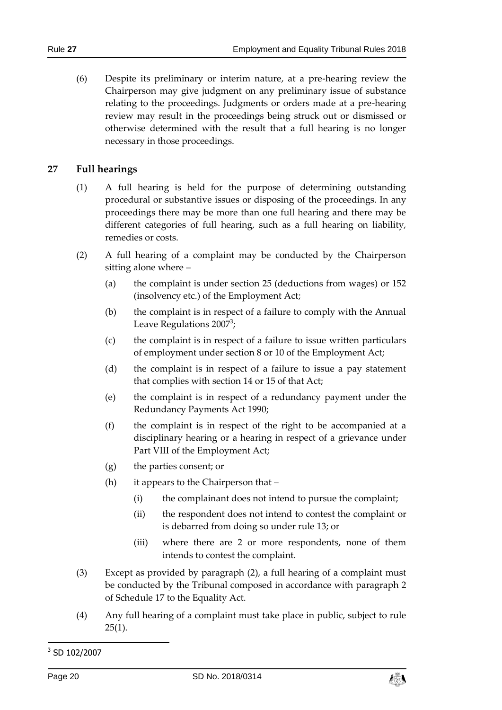(6) Despite its preliminary or interim nature, at a pre-hearing review the Chairperson may give judgment on any preliminary issue of substance relating to the proceedings. Judgments or orders made at a pre-hearing review may result in the proceedings being struck out or dismissed or otherwise determined with the result that a full hearing is no longer necessary in those proceedings.

#### <span id="page-19-0"></span>**27 Full hearings**

- (1) A full hearing is held for the purpose of determining outstanding procedural or substantive issues or disposing of the proceedings. In any proceedings there may be more than one full hearing and there may be different categories of full hearing, such as a full hearing on liability, remedies or costs.
- (2) A full hearing of a complaint may be conducted by the Chairperson sitting alone where –
	- (a) the complaint is under section 25 (deductions from wages) or 152 (insolvency etc.) of the Employment Act;
	- (b) the complaint is in respect of a failure to comply with the Annual Leave Regulations 2007<sup>3</sup>;
	- (c) the complaint is in respect of a failure to issue written particulars of employment under section 8 or 10 of the Employment Act;
	- (d) the complaint is in respect of a failure to issue a pay statement that complies with section 14 or 15 of that Act;
	- (e) the complaint is in respect of a redundancy payment under the Redundancy Payments Act 1990;
	- (f) the complaint is in respect of the right to be accompanied at a disciplinary hearing or a hearing in respect of a grievance under Part VIII of the Employment Act;
	- (g) the parties consent; or
	- (h) it appears to the Chairperson that
		- (i) the complainant does not intend to pursue the complaint;
		- (ii) the respondent does not intend to contest the complaint or is debarred from doing so under rule [13;](#page-8-0) or
		- (iii) where there are 2 or more respondents, none of them intends to contest the complaint.
- (3) Except as provided by paragraph (2), a full hearing of a complaint must be conducted by the Tribunal composed in accordance with paragraph 2 of Schedule 17 to the Equality Act.
- (4) Any full hearing of a complaint must take place in public, subject to rule  $25(1)$  $25(1)$ .

1



<sup>&</sup>lt;sup>3</sup> SD 102/2007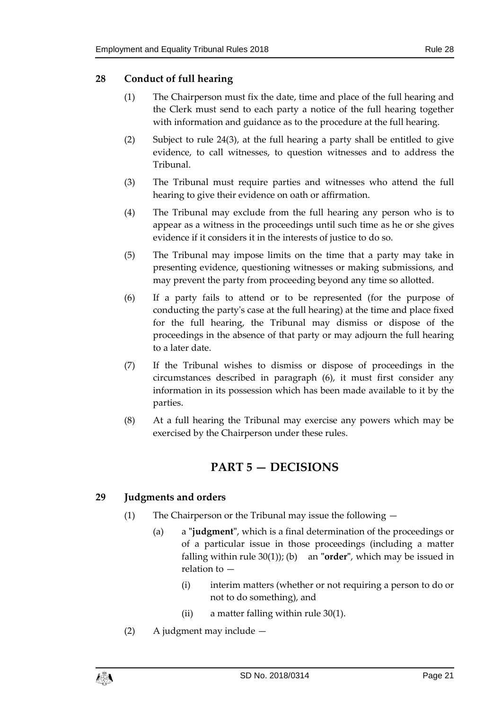## <span id="page-20-0"></span>**28 Conduct of full hearing**

- (1) The Chairperson must fix the date, time and place of the full hearing and the Clerk must send to each party a notice of the full hearing together with information and guidance as to the procedure at the full hearing.
- (2) Subject to rule [24\(](#page-16-1)3), at the full hearing a party shall be entitled to give evidence, to call witnesses, to question witnesses and to address the Tribunal.
- (3) The Tribunal must require parties and witnesses who attend the full hearing to give their evidence on oath or affirmation.
- (4) The Tribunal may exclude from the full hearing any person who is to appear as a witness in the proceedings until such time as he or she gives evidence if it considers it in the interests of justice to do so.
- (5) The Tribunal may impose limits on the time that a party may take in presenting evidence, questioning witnesses or making submissions, and may prevent the party from proceeding beyond any time so allotted.
- (6) If a party fails to attend or to be represented (for the purpose of conducting the party's case at the full hearing) at the time and place fixed for the full hearing, the Tribunal may dismiss or dispose of the proceedings in the absence of that party or may adjourn the full hearing to a later date.
- (7) If the Tribunal wishes to dismiss or dispose of proceedings in the circumstances described in paragraph (6), it must first consider any information in its possession which has been made available to it by the parties.
- <span id="page-20-1"></span>(8) At a full hearing the Tribunal may exercise any powers which may be exercised by the Chairperson under these rules.

# **PART 5 — DECISIONS**

# <span id="page-20-2"></span>**29 Judgments and orders**

- (1) The Chairperson or the Tribunal may issue the following
	- (a) a **"judgment"**, which is a final determination of the proceedings or of a particular issue in those proceedings (including a matter falling within rule [30\(](#page-21-0)1)); (b) an **"order"**, which may be issued in relation to —
		- (i) interim matters (whether or not requiring a person to do or not to do something), and
		- (ii) a matter falling within rule [30\(](#page-21-0)1).
- (2) A judgment may include —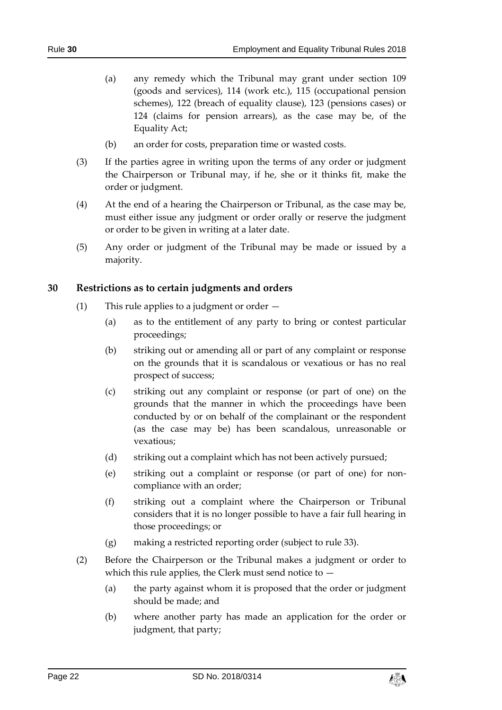- (a) any remedy which the Tribunal may grant under section 109 (goods and services), 114 (work etc.), 115 (occupational pension schemes), 122 (breach of equality clause), 123 (pensions cases) or 124 (claims for pension arrears), as the case may be, of the Equality Act;
- (b) an order for costs, preparation time or wasted costs.
- (3) If the parties agree in writing upon the terms of any order or judgment the Chairperson or Tribunal may, if he, she or it thinks fit, make the order or judgment.
- (4) At the end of a hearing the Chairperson or Tribunal, as the case may be, must either issue any judgment or order orally or reserve the judgment or order to be given in writing at a later date.
- (5) Any order or judgment of the Tribunal may be made or issued by a majority.

#### <span id="page-21-0"></span>**30 Restrictions as to certain judgments and orders**

- (1) This rule applies to a judgment or order
	- (a) as to the entitlement of any party to bring or contest particular proceedings;
	- (b) striking out or amending all or part of any complaint or response on the grounds that it is scandalous or vexatious or has no real prospect of success;
	- (c) striking out any complaint or response (or part of one) on the grounds that the manner in which the proceedings have been conducted by or on behalf of the complainant or the respondent (as the case may be) has been scandalous, unreasonable or vexatious;
	- (d) striking out a complaint which has not been actively pursued;
	- (e) striking out a complaint or response (or part of one) for noncompliance with an order;
	- (f) striking out a complaint where the Chairperson or Tribunal considers that it is no longer possible to have a fair full hearing in those proceedings; or
	- (g) making a restricted reporting order (subject to rule [33\)](#page-23-1).
- (2) Before the Chairperson or the Tribunal makes a judgment or order to which this rule applies, the Clerk must send notice to  $-$ 
	- (a) the party against whom it is proposed that the order or judgment should be made; and
	- (b) where another party has made an application for the order or judgment, that party;

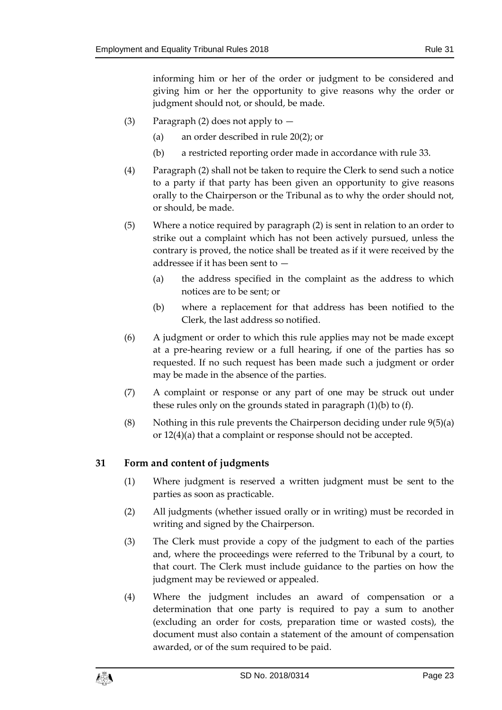informing him or her of the order or judgment to be considered and giving him or her the opportunity to give reasons why the order or judgment should not, or should, be made.

- (3) Paragraph (2) does not apply to  $-$ 
	- (a) an order described in rule [20\(](#page-14-1)2); or
	- (b) a restricted reporting order made in accordance with rule [33.](#page-23-1)
- (4) Paragraph (2) shall not be taken to require the Clerk to send such a notice to a party if that party has been given an opportunity to give reasons orally to the Chairperson or the Tribunal as to why the order should not, or should, be made.
- (5) Where a notice required by paragraph (2) is sent in relation to an order to strike out a complaint which has not been actively pursued, unless the contrary is proved, the notice shall be treated as if it were received by the addressee if it has been sent to —
	- (a) the address specified in the complaint as the address to which notices are to be sent; or
	- (b) where a replacement for that address has been notified to the Clerk, the last address so notified.
- (6) A judgment or order to which this rule applies may not be made except at a pre-hearing review or a full hearing, if one of the parties has so requested. If no such request has been made such a judgment or order may be made in the absence of the parties.
- (7) A complaint or response or any part of one may be struck out under these rules only on the grounds stated in paragraph (1)(b) to (f).
- (8) Nothing in this rule prevents the Chairperson deciding under rule  $9(5)(a)$ or [12\(](#page-7-2)4)(a) that a complaint or response should not be accepted.

# <span id="page-22-0"></span>**31 Form and content of judgments**

- (1) Where judgment is reserved a written judgment must be sent to the parties as soon as practicable.
- (2) All judgments (whether issued orally or in writing) must be recorded in writing and signed by the Chairperson.
- (3) The Clerk must provide a copy of the judgment to each of the parties and, where the proceedings were referred to the Tribunal by a court, to that court. The Clerk must include guidance to the parties on how the judgment may be reviewed or appealed.
- (4) Where the judgment includes an award of compensation or a determination that one party is required to pay a sum to another (excluding an order for costs, preparation time or wasted costs), the document must also contain a statement of the amount of compensation awarded, or of the sum required to be paid.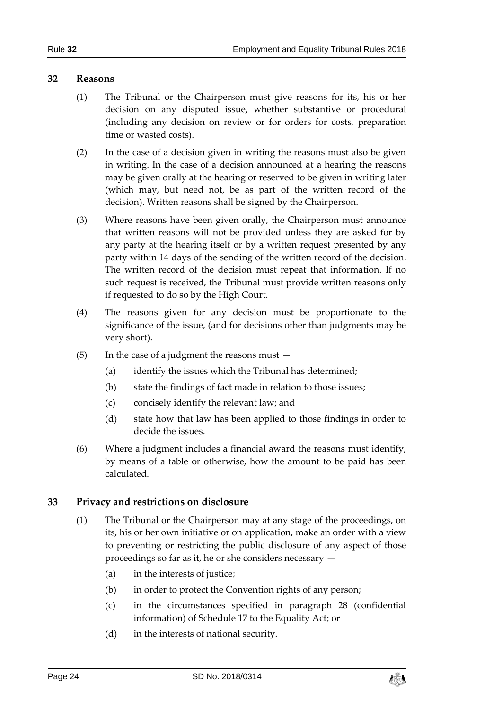#### <span id="page-23-0"></span>**32 Reasons**

- (1) The Tribunal or the Chairperson must give reasons for its, his or her decision on any disputed issue, whether substantive or procedural (including any decision on review or for orders for costs, preparation time or wasted costs).
- (2) In the case of a decision given in writing the reasons must also be given in writing. In the case of a decision announced at a hearing the reasons may be given orally at the hearing or reserved to be given in writing later (which may, but need not, be as part of the written record of the decision). Written reasons shall be signed by the Chairperson.
- (3) Where reasons have been given orally, the Chairperson must announce that written reasons will not be provided unless they are asked for by any party at the hearing itself or by a written request presented by any party within 14 days of the sending of the written record of the decision. The written record of the decision must repeat that information. If no such request is received, the Tribunal must provide written reasons only if requested to do so by the High Court.
- (4) The reasons given for any decision must be proportionate to the significance of the issue, (and for decisions other than judgments may be very short).
- (5) In the case of a judgment the reasons must
	- (a) identify the issues which the Tribunal has determined;
	- (b) state the findings of fact made in relation to those issues;
	- (c) concisely identify the relevant law; and
	- (d) state how that law has been applied to those findings in order to decide the issues.
- (6) Where a judgment includes a financial award the reasons must identify, by means of a table or otherwise, how the amount to be paid has been calculated.

#### <span id="page-23-1"></span>**33 Privacy and restrictions on disclosure**

- (1) The Tribunal or the Chairperson may at any stage of the proceedings, on its, his or her own initiative or on application, make an order with a view to preventing or restricting the public disclosure of any aspect of those proceedings so far as it, he or she considers necessary —
	- (a) in the interests of justice;
	- (b) in order to protect the Convention rights of any person;
	- (c) in the circumstances specified in paragraph 28 (confidential information) of Schedule 17 to the Equality Act; or
	- (d) in the interests of national security.

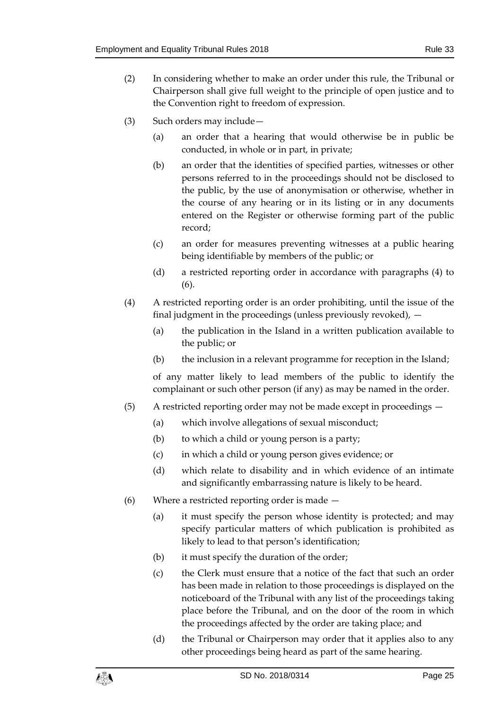- (2) In considering whether to make an order under this rule, the Tribunal or Chairperson shall give full weight to the principle of open justice and to the Convention right to freedom of expression.
- (3) Such orders may include—
	- (a) an order that a hearing that would otherwise be in public be conducted, in whole or in part, in private;
	- (b) an order that the identities of specified parties, witnesses or other persons referred to in the proceedings should not be disclosed to the public, by the use of anonymisation or otherwise, whether in the course of any hearing or in its listing or in any documents entered on the Register or otherwise forming part of the public record;
	- (c) an order for measures preventing witnesses at a public hearing being identifiable by members of the public; or
	- (d) a restricted reporting order in accordance with paragraphs (4) to (6).
- (4) A restricted reporting order is an order prohibiting, until the issue of the final judgment in the proceedings (unless previously revoked), —
	- (a) the publication in the Island in a written publication available to the public; or
	- (b) the inclusion in a relevant programme for reception in the Island;

of any matter likely to lead members of the public to identify the complainant or such other person (if any) as may be named in the order.

- (5) A restricted reporting order may not be made except in proceedings
	- (a) which involve allegations of sexual misconduct;
	- (b) to which a child or young person is a party;
	- (c) in which a child or young person gives evidence; or
	- (d) which relate to disability and in which evidence of an intimate and significantly embarrassing nature is likely to be heard.
- (6) Where a restricted reporting order is made
	- (a) it must specify the person whose identity is protected; and may specify particular matters of which publication is prohibited as likely to lead to that person's identification;
	- (b) it must specify the duration of the order;
	- (c) the Clerk must ensure that a notice of the fact that such an order has been made in relation to those proceedings is displayed on the noticeboard of the Tribunal with any list of the proceedings taking place before the Tribunal, and on the door of the room in which the proceedings affected by the order are taking place; and
	- (d) the Tribunal or Chairperson may order that it applies also to any other proceedings being heard as part of the same hearing.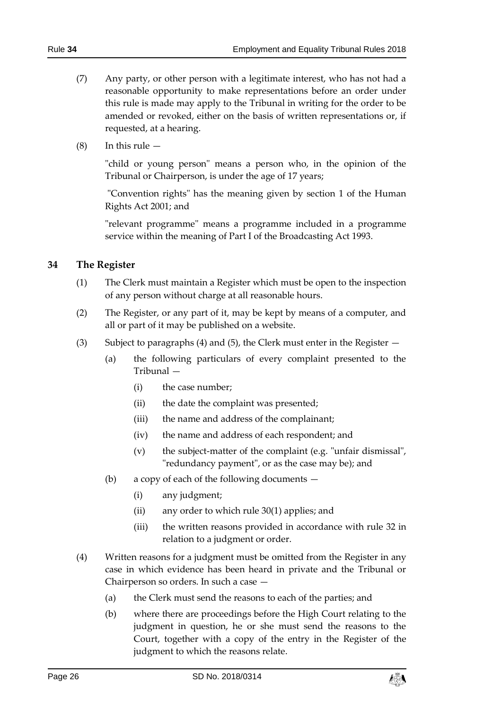- (7) Any party, or other person with a legitimate interest, who has not had a reasonable opportunity to make representations before an order under this rule is made may apply to the Tribunal in writing for the order to be amended or revoked, either on the basis of written representations or, if requested, at a hearing.
- $(8)$  In this rule  $-$

"child or young person" means a person who, in the opinion of the Tribunal or Chairperson, is under the age of 17 years;

"Convention rights" has the meaning given by section 1 of the Human Rights Act 2001; and

"relevant programme" means a programme included in a programme service within the meaning of Part I of the Broadcasting Act 1993.

## <span id="page-25-0"></span>**34 The Register**

- (1) The Clerk must maintain a Register which must be open to the inspection of any person without charge at all reasonable hours.
- (2) The Register, or any part of it, may be kept by means of a computer, and all or part of it may be published on a website.
- (3) Subject to paragraphs (4) and (5), the Clerk must enter in the Register
	- (a) the following particulars of every complaint presented to the Tribunal —
		- (i) the case number;
		- (ii) the date the complaint was presented;
		- (iii) the name and address of the complainant;
		- (iv) the name and address of each respondent; and
		- (v) the subject-matter of the complaint (e.g. "unfair dismissal", "redundancy payment", or as the case may be); and
	- (b) a copy of each of the following documents
		- (i) any judgment;
		- (ii) any order to which rule [30\(](#page-21-0)1) applies; and
		- (iii) the written reasons provided in accordance with rule [32](#page-23-0) in relation to a judgment or order.
- (4) Written reasons for a judgment must be omitted from the Register in any case in which evidence has been heard in private and the Tribunal or Chairperson so orders. In such a case —
	- (a) the Clerk must send the reasons to each of the parties; and
	- (b) where there are proceedings before the High Court relating to the judgment in question, he or she must send the reasons to the Court, together with a copy of the entry in the Register of the judgment to which the reasons relate.

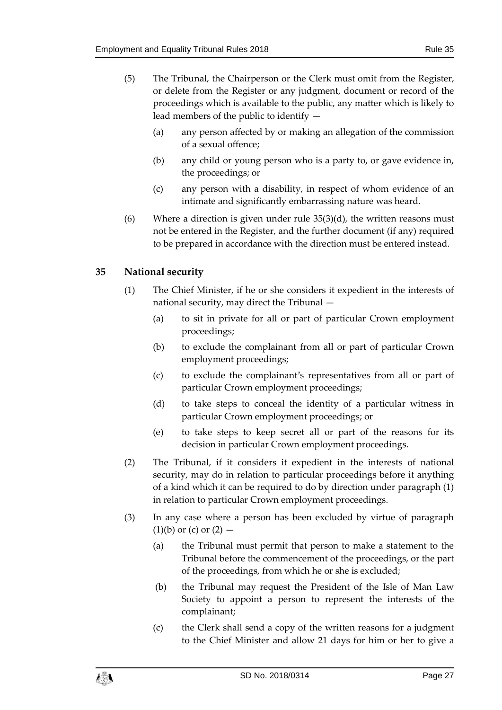- (5) The Tribunal, the Chairperson or the Clerk must omit from the Register, or delete from the Register or any judgment, document or record of the proceedings which is available to the public, any matter which is likely to lead members of the public to identify —
	- (a) any person affected by or making an allegation of the commission of a sexual offence;
	- (b) any child or young person who is a party to, or gave evidence in, the proceedings; or
	- (c) any person with a disability, in respect of whom evidence of an intimate and significantly embarrassing nature was heard.
- (6) Where a direction is given under rule  $35(3)(d)$ , the written reasons must not be entered in the Register, and the further document (if any) required to be prepared in accordance with the direction must be entered instead.

# <span id="page-26-0"></span>**35 National security**

- (1) The Chief Minister, if he or she considers it expedient in the interests of national security, may direct the Tribunal —
	- (a) to sit in private for all or part of particular Crown employment proceedings;
	- (b) to exclude the complainant from all or part of particular Crown employment proceedings;
	- (c) to exclude the complainant's representatives from all or part of particular Crown employment proceedings;
	- (d) to take steps to conceal the identity of a particular witness in particular Crown employment proceedings; or
	- (e) to take steps to keep secret all or part of the reasons for its decision in particular Crown employment proceedings.
- (2) The Tribunal, if it considers it expedient in the interests of national security, may do in relation to particular proceedings before it anything of a kind which it can be required to do by direction under paragraph (1) in relation to particular Crown employment proceedings.
- <span id="page-26-1"></span>(3) In any case where a person has been excluded by virtue of paragraph  $(1)(b)$  or  $(c)$  or  $(2)$  —
	- (a) the Tribunal must permit that person to make a statement to the Tribunal before the commencement of the proceedings, or the part of the proceedings, from which he or she is excluded;
	- (b) the Tribunal may request the President of the Isle of Man Law Society to appoint a person to represent the interests of the complainant;
	- (c) the Clerk shall send a copy of the written reasons for a judgment to the Chief Minister and allow 21 days for him or her to give a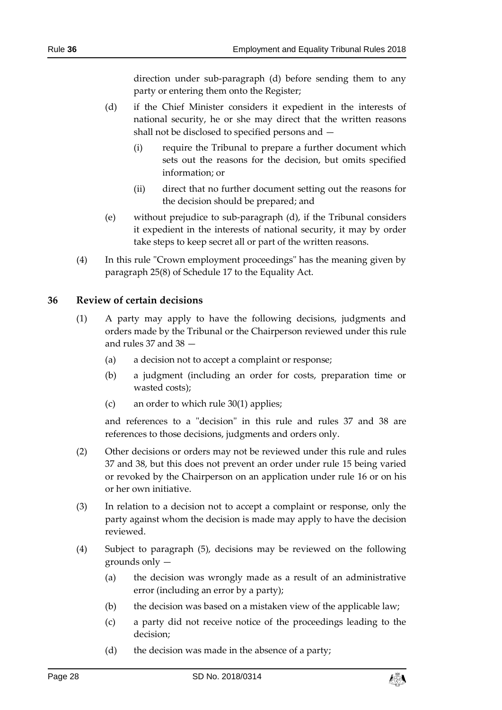direction under sub-paragraph (d) before sending them to any party or entering them onto the Register;

- (d) if the Chief Minister considers it expedient in the interests of national security, he or she may direct that the written reasons shall not be disclosed to specified persons and —
	- (i) require the Tribunal to prepare a further document which sets out the reasons for the decision, but omits specified information; or
	- (ii) direct that no further document setting out the reasons for the decision should be prepared; and
- (e) without prejudice to sub-paragraph (d), if the Tribunal considers it expedient in the interests of national security, it may by order take steps to keep secret all or part of the written reasons.
- (4) In this rule "Crown employment proceedings" has the meaning given by paragraph 25(8) of Schedule 17 to the Equality Act.

#### <span id="page-27-0"></span>**36 Review of certain decisions**

- (1) A party may apply to have the following decisions, judgments and orders made by the Tribunal or the Chairperson reviewed under this rule and rules [37](#page-28-0) and [38](#page-28-1) —
	- (a) a decision not to accept a complaint or response;
	- (b) a judgment (including an order for costs, preparation time or wasted costs);
	- (c) an order to which rule [30\(](#page-21-0)1) applies;

and references to a "decision" in this rule and rules [37](#page-28-0) and [38](#page-28-1) are references to those decisions, judgments and orders only.

- (2) Other decisions or orders may not be reviewed under this rule and rules [37](#page-28-0) and [38,](#page-28-1) but this does not prevent an order under rule [15](#page-10-1) being varied or revoked by the Chairperson on an application under rule [16](#page-12-0) or on his or her own initiative.
- (3) In relation to a decision not to accept a complaint or response, only the party against whom the decision is made may apply to have the decision reviewed.
- (4) Subject to paragraph (5), decisions may be reviewed on the following grounds only —
	- (a) the decision was wrongly made as a result of an administrative error (including an error by a party);
	- (b) the decision was based on a mistaken view of the applicable law;
	- (c) a party did not receive notice of the proceedings leading to the decision;
	- (d) the decision was made in the absence of a party;

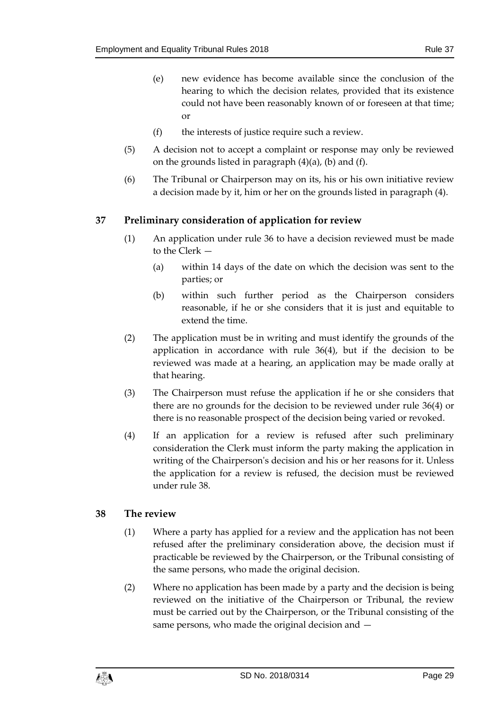- (e) new evidence has become available since the conclusion of the hearing to which the decision relates, provided that its existence could not have been reasonably known of or foreseen at that time; or
- (f) the interests of justice require such a review.
- (5) A decision not to accept a complaint or response may only be reviewed on the grounds listed in paragraph  $(4)(a)$ ,  $(b)$  and  $(f)$ .
- (6) The Tribunal or Chairperson may on its, his or his own initiative review a decision made by it, him or her on the grounds listed in paragraph (4).

# <span id="page-28-0"></span>**37 Preliminary consideration of application for review**

- (1) An application under rule [36](#page-27-0) to have a decision reviewed must be made to the Clerk —
	- (a) within 14 days of the date on which the decision was sent to the parties; or
	- (b) within such further period as the Chairperson considers reasonable, if he or she considers that it is just and equitable to extend the time.
- (2) The application must be in writing and must identify the grounds of the application in accordance with rule [36\(](#page-27-0)4), but if the decision to be reviewed was made at a hearing, an application may be made orally at that hearing.
- (3) The Chairperson must refuse the application if he or she considers that there are no grounds for the decision to be reviewed under rule [36\(](#page-27-0)4) or there is no reasonable prospect of the decision being varied or revoked.
- (4) If an application for a review is refused after such preliminary consideration the Clerk must inform the party making the application in writing of the Chairperson's decision and his or her reasons for it. Unless the application for a review is refused, the decision must be reviewed under rul[e 38.](#page-28-1)

#### <span id="page-28-1"></span>**38 The review**

- (1) Where a party has applied for a review and the application has not been refused after the preliminary consideration above, the decision must if practicable be reviewed by the Chairperson, or the Tribunal consisting of the same persons, who made the original decision.
- (2) Where no application has been made by a party and the decision is being reviewed on the initiative of the Chairperson or Tribunal, the review must be carried out by the Chairperson, or the Tribunal consisting of the same persons, who made the original decision and —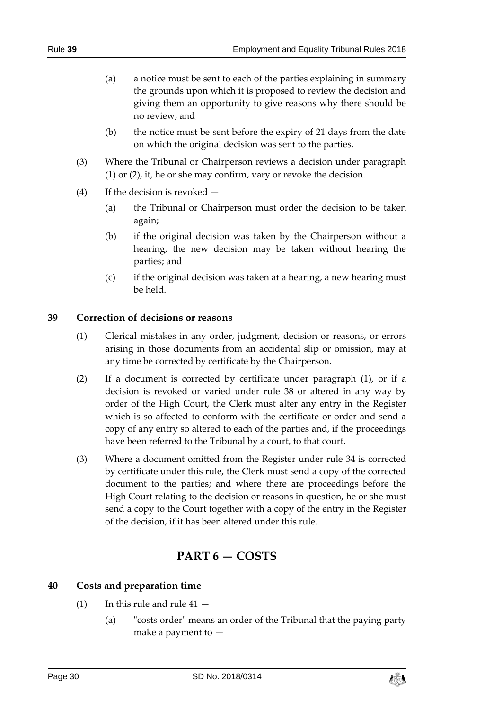- (a) a notice must be sent to each of the parties explaining in summary the grounds upon which it is proposed to review the decision and giving them an opportunity to give reasons why there should be no review; and
- (b) the notice must be sent before the expiry of 21 days from the date on which the original decision was sent to the parties.
- (3) Where the Tribunal or Chairperson reviews a decision under paragraph (1) or (2), it, he or she may confirm, vary or revoke the decision.
- (4) If the decision is revoked
	- (a) the Tribunal or Chairperson must order the decision to be taken again;
	- (b) if the original decision was taken by the Chairperson without a hearing, the new decision may be taken without hearing the parties; and
	- (c) if the original decision was taken at a hearing, a new hearing must be held.

## <span id="page-29-0"></span>**39 Correction of decisions or reasons**

- (1) Clerical mistakes in any order, judgment, decision or reasons, or errors arising in those documents from an accidental slip or omission, may at any time be corrected by certificate by the Chairperson.
- (2) If a document is corrected by certificate under paragraph (1), or if a decision is revoked or varied under rule [38](#page-28-1) or altered in any way by order of the High Court, the Clerk must alter any entry in the Register which is so affected to conform with the certificate or order and send a copy of any entry so altered to each of the parties and, if the proceedings have been referred to the Tribunal by a court, to that court.
- (3) Where a document omitted from the Register under rule [34](#page-25-0) is corrected by certificate under this rule, the Clerk must send a copy of the corrected document to the parties; and where there are proceedings before the High Court relating to the decision or reasons in question, he or she must send a copy to the Court together with a copy of the entry in the Register of the decision, if it has been altered under this rule.

# **PART 6 — COSTS**

# <span id="page-29-2"></span><span id="page-29-1"></span>**40 Costs and preparation time**

- (1) In this rule and rule  $41 -$ 
	- (a) "costs order" means an order of the Tribunal that the paying party make a payment to —

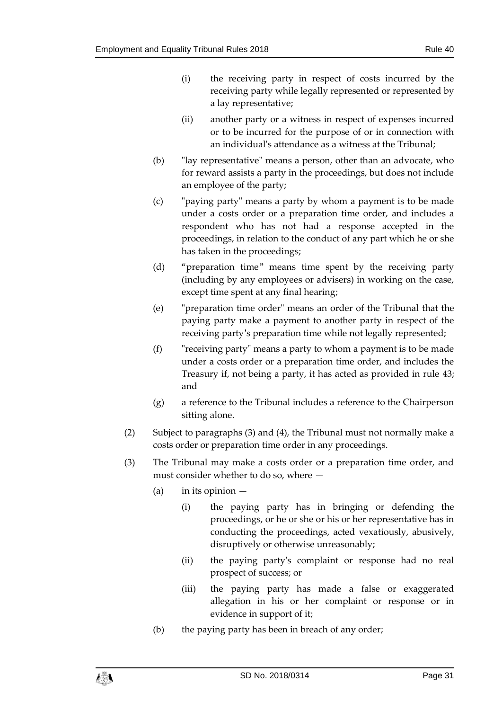- (i) the receiving party in respect of costs incurred by the receiving party while legally represented or represented by a lay representative;
- (ii) another party or a witness in respect of expenses incurred or to be incurred for the purpose of or in connection with an individual's attendance as a witness at the Tribunal;
- (b) "lay representative" means a person, other than an advocate, who for reward assists a party in the proceedings, but does not include an employee of the party;
- (c) "paying party" means a party by whom a payment is to be made under a costs order or a preparation time order, and includes a respondent who has not had a response accepted in the proceedings, in relation to the conduct of any part which he or she has taken in the proceedings;
- (d) "preparation time" means time spent by the receiving party (including by any employees or advisers) in working on the case, except time spent at any final hearing;
- (e) "preparation time order" means an order of the Tribunal that the paying party make a payment to another party in respect of the receiving party's preparation time while not legally represented;
- (f) "receiving party" means a party to whom a payment is to be made under a costs order or a preparation time order, and includes the Treasury if, not being a party, it has acted as provided in rule [43;](#page-34-2) and
- (g) a reference to the Tribunal includes a reference to the Chairperson sitting alone.
- (2) Subject to paragraphs (3) and (4), the Tribunal must not normally make a costs order or preparation time order in any proceedings.
- (3) The Tribunal may make a costs order or a preparation time order, and must consider whether to do so, where —
	- (a) in its opinion
		- (i) the paying party has in bringing or defending the proceedings, or he or she or his or her representative has in conducting the proceedings, acted vexatiously, abusively, disruptively or otherwise unreasonably;
		- (ii) the paying party's complaint or response had no real prospect of success; or
		- (iii) the paying party has made a false or exaggerated allegation in his or her complaint or response or in evidence in support of it;
	- (b) the paying party has been in breach of any order;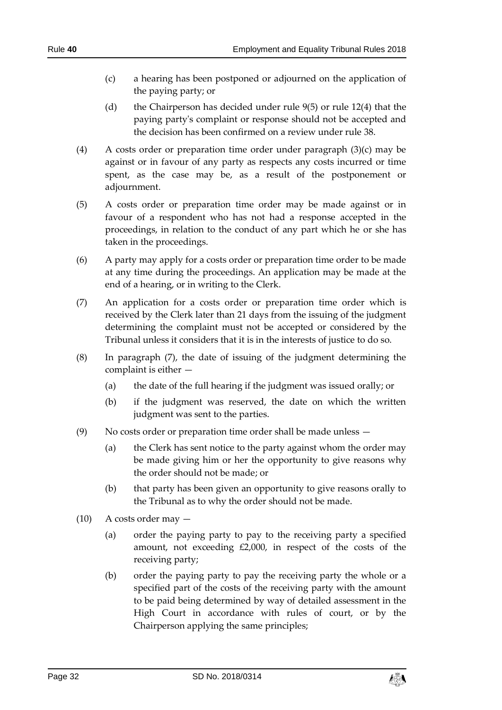- (c) a hearing has been postponed or adjourned on the application of the paying party; or
- (d) the Chairperson has decided under rule [9\(](#page-5-0)5) or rule 12(4) that the paying party's complaint or response should not be accepted and the decision has been confirmed on a review under rule [38.](#page-28-1)
- (4) A costs order or preparation time order under paragraph (3)(c) may be against or in favour of any party as respects any costs incurred or time spent, as the case may be, as a result of the postponement or adjournment.
- (5) A costs order or preparation time order may be made against or in favour of a respondent who has not had a response accepted in the proceedings, in relation to the conduct of any part which he or she has taken in the proceedings.
- (6) A party may apply for a costs order or preparation time order to be made at any time during the proceedings. An application may be made at the end of a hearing, or in writing to the Clerk.
- (7) An application for a costs order or preparation time order which is received by the Clerk later than 21 days from the issuing of the judgment determining the complaint must not be accepted or considered by the Tribunal unless it considers that it is in the interests of justice to do so.
- (8) In paragraph (7), the date of issuing of the judgment determining the complaint is either —
	- (a) the date of the full hearing if the judgment was issued orally; or
	- (b) if the judgment was reserved, the date on which the written judgment was sent to the parties.
- (9) No costs order or preparation time order shall be made unless
	- (a) the Clerk has sent notice to the party against whom the order may be made giving him or her the opportunity to give reasons why the order should not be made; or
	- (b) that party has been given an opportunity to give reasons orally to the Tribunal as to why the order should not be made.
- $(10)$  A costs order may  $-$ 
	- (a) order the paying party to pay to the receiving party a specified amount, not exceeding £2,000, in respect of the costs of the receiving party;
	- (b) order the paying party to pay the receiving party the whole or a specified part of the costs of the receiving party with the amount to be paid being determined by way of detailed assessment in the High Court in accordance with rules of court, or by the Chairperson applying the same principles;

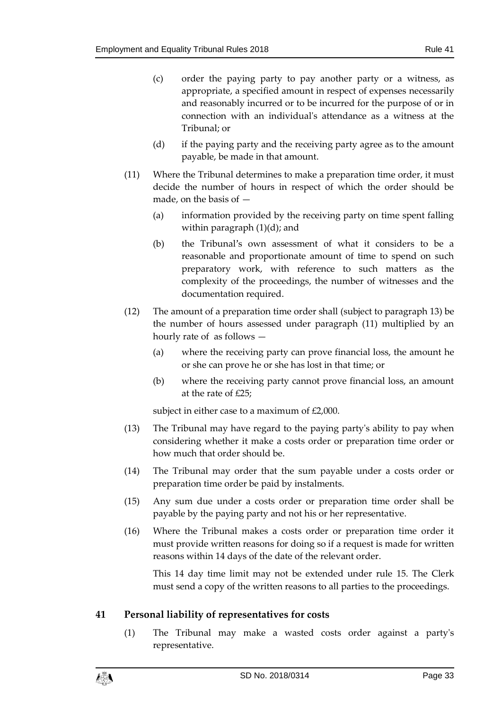- (c) order the paying party to pay another party or a witness, as appropriate, a specified amount in respect of expenses necessarily and reasonably incurred or to be incurred for the purpose of or in connection with an individual's attendance as a witness at the Tribunal; or
- (d) if the paying party and the receiving party agree as to the amount payable, be made in that amount.
- (11) Where the Tribunal determines to make a preparation time order, it must decide the number of hours in respect of which the order should be made, on the basis of —
	- (a) information provided by the receiving party on time spent falling within paragraph (1)(d); and
	- (b) the Tribunal's own assessment of what it considers to be a reasonable and proportionate amount of time to spend on such preparatory work, with reference to such matters as the complexity of the proceedings, the number of witnesses and the documentation required.
- (12) The amount of a preparation time order shall (subject to paragraph 13) be the number of hours assessed under paragraph (11) multiplied by an hourly rate of as follows —
	- (a) where the receiving party can prove financial loss, the amount he or she can prove he or she has lost in that time; or
	- (b) where the receiving party cannot prove financial loss, an amount at the rate of £25;

subject in either case to a maximum of £2,000.

- (13) The Tribunal may have regard to the paying party's ability to pay when considering whether it make a costs order or preparation time order or how much that order should be.
- (14) The Tribunal may order that the sum payable under a costs order or preparation time order be paid by instalments.
- (15) Any sum due under a costs order or preparation time order shall be payable by the paying party and not his or her representative.
- (16) Where the Tribunal makes a costs order or preparation time order it must provide written reasons for doing so if a request is made for written reasons within 14 days of the date of the relevant order.

This 14 day time limit may not be extended under rule [15.](#page-10-1) The Clerk must send a copy of the written reasons to all parties to the proceedings.

#### <span id="page-32-0"></span>**41 Personal liability of representatives for costs**

(1) The Tribunal may make a wasted costs order against a party's representative.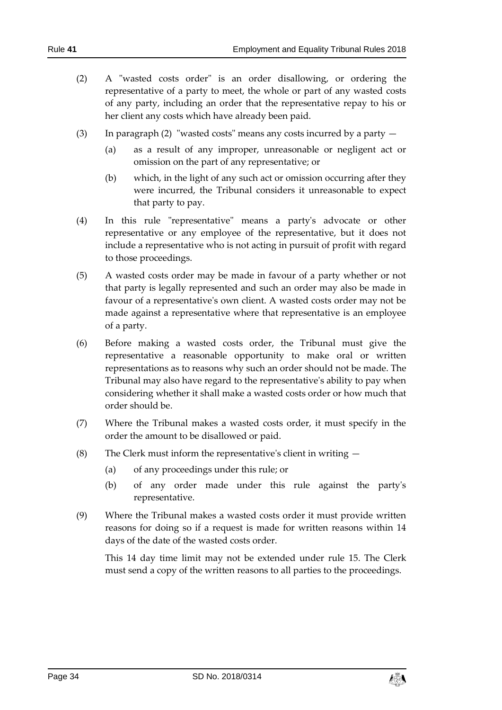- (2) A "wasted costs order" is an order disallowing, or ordering the representative of a party to meet, the whole or part of any wasted costs of any party, including an order that the representative repay to his or her client any costs which have already been paid.
- (3) In paragraph (2) "wasted costs" means any costs incurred by a party
	- (a) as a result of any improper, unreasonable or negligent act or omission on the part of any representative; or
	- (b) which, in the light of any such act or omission occurring after they were incurred, the Tribunal considers it unreasonable to expect that party to pay.
- (4) In this rule "representative" means a party's advocate or other representative or any employee of the representative, but it does not include a representative who is not acting in pursuit of profit with regard to those proceedings.
- (5) A wasted costs order may be made in favour of a party whether or not that party is legally represented and such an order may also be made in favour of a representative's own client. A wasted costs order may not be made against a representative where that representative is an employee of a party.
- (6) Before making a wasted costs order, the Tribunal must give the representative a reasonable opportunity to make oral or written representations as to reasons why such an order should not be made. The Tribunal may also have regard to the representative's ability to pay when considering whether it shall make a wasted costs order or how much that order should be.
- (7) Where the Tribunal makes a wasted costs order, it must specify in the order the amount to be disallowed or paid.
- (8) The Clerk must inform the representative's client in writing  $-$ 
	- (a) of any proceedings under this rule; or
	- (b) of any order made under this rule against the party's representative.
- (9) Where the Tribunal makes a wasted costs order it must provide written reasons for doing so if a request is made for written reasons within 14 days of the date of the wasted costs order.

This 14 day time limit may not be extended under rule [15.](#page-10-1) The Clerk must send a copy of the written reasons to all parties to the proceedings.

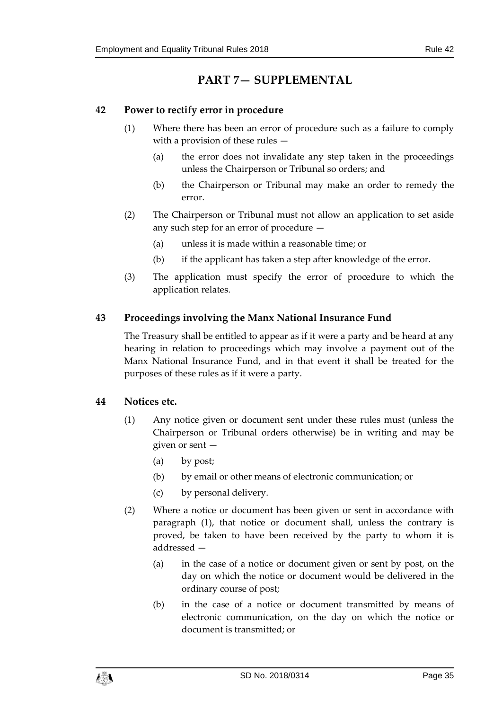# **PART 7— SUPPLEMENTAL**

# <span id="page-34-1"></span><span id="page-34-0"></span>**42 Power to rectify error in procedure**

- (1) Where there has been an error of procedure such as a failure to comply with a provision of these rules —
	- (a) the error does not invalidate any step taken in the proceedings unless the Chairperson or Tribunal so orders; and
	- (b) the Chairperson or Tribunal may make an order to remedy the error.
- (2) The Chairperson or Tribunal must not allow an application to set aside any such step for an error of procedure —
	- (a) unless it is made within a reasonable time; or
	- (b) if the applicant has taken a step after knowledge of the error.
- (3) The application must specify the error of procedure to which the application relates.

# <span id="page-34-2"></span>**43 Proceedings involving the Manx National Insurance Fund**

The Treasury shall be entitled to appear as if it were a party and be heard at any hearing in relation to proceedings which may involve a payment out of the Manx National Insurance Fund, and in that event it shall be treated for the purposes of these rules as if it were a party.

# <span id="page-34-3"></span>**44 Notices etc.**

- (1) Any notice given or document sent under these rules must (unless the Chairperson or Tribunal orders otherwise) be in writing and may be given or sent —
	- (a) by post;
	- (b) by email or other means of electronic communication; or
	- (c) by personal delivery.
- (2) Where a notice or document has been given or sent in accordance with paragraph (1), that notice or document shall, unless the contrary is proved, be taken to have been received by the party to whom it is addressed —
	- (a) in the case of a notice or document given or sent by post, on the day on which the notice or document would be delivered in the ordinary course of post;
	- (b) in the case of a notice or document transmitted by means of electronic communication, on the day on which the notice or document is transmitted; or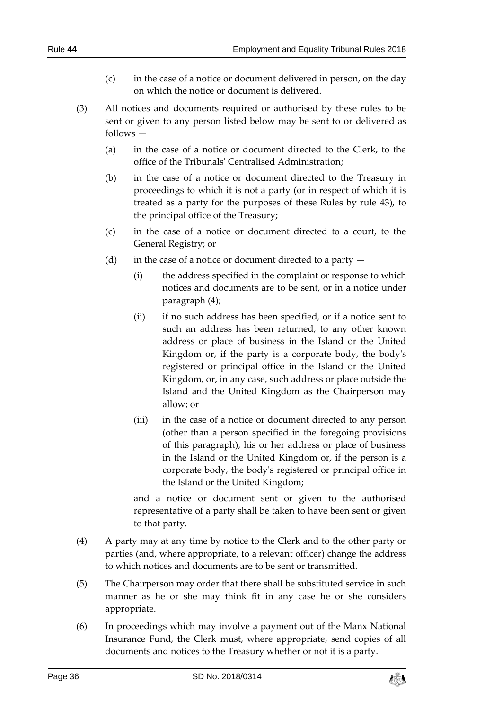- (c) in the case of a notice or document delivered in person, on the day on which the notice or document is delivered.
- (3) All notices and documents required or authorised by these rules to be sent or given to any person listed below may be sent to or delivered as follows —
	- (a) in the case of a notice or document directed to the Clerk, to the office of the Tribunals' Centralised Administration;
	- (b) in the case of a notice or document directed to the Treasury in proceedings to which it is not a party (or in respect of which it is treated as a party for the purposes of these Rules by rule [43\)](#page-34-2), to the principal office of the Treasury;
	- (c) in the case of a notice or document directed to a court, to the General Registry; or
	- (d) in the case of a notice or document directed to a party
		- (i) the address specified in the complaint or response to which notices and documents are to be sent, or in a notice under paragraph (4);
		- (ii) if no such address has been specified, or if a notice sent to such an address has been returned, to any other known address or place of business in the Island or the United Kingdom or, if the party is a corporate body, the body's registered or principal office in the Island or the United Kingdom, or, in any case, such address or place outside the Island and the United Kingdom as the Chairperson may allow; or
		- (iii) in the case of a notice or document directed to any person (other than a person specified in the foregoing provisions of this paragraph), his or her address or place of business in the Island or the United Kingdom or, if the person is a corporate body, the body's registered or principal office in the Island or the United Kingdom;

and a notice or document sent or given to the authorised representative of a party shall be taken to have been sent or given to that party.

- (4) A party may at any time by notice to the Clerk and to the other party or parties (and, where appropriate, to a relevant officer) change the address to which notices and documents are to be sent or transmitted.
- (5) The Chairperson may order that there shall be substituted service in such manner as he or she may think fit in any case he or she considers appropriate.
- (6) In proceedings which may involve a payment out of the Manx National Insurance Fund, the Clerk must, where appropriate, send copies of all documents and notices to the Treasury whether or not it is a party.

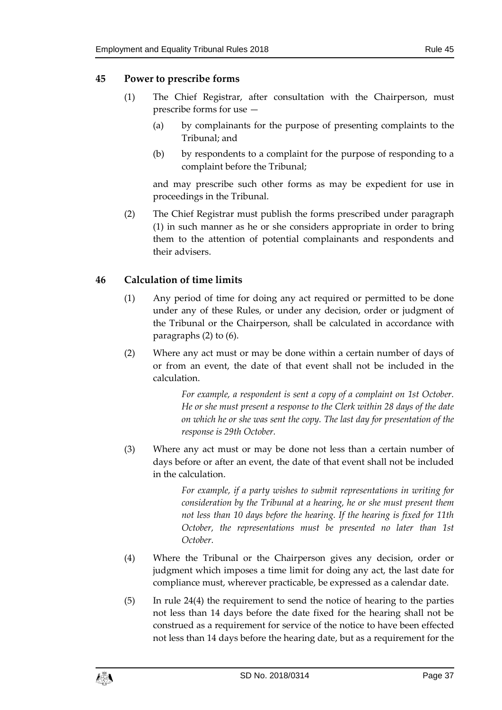#### <span id="page-36-0"></span>**45 Power to prescribe forms**

- (1) The Chief Registrar, after consultation with the Chairperson, must prescribe forms for use —
	- (a) by complainants for the purpose of presenting complaints to the Tribunal; and
	- (b) by respondents to a complaint for the purpose of responding to a complaint before the Tribunal;

and may prescribe such other forms as may be expedient for use in proceedings in the Tribunal.

(2) The Chief Registrar must publish the forms prescribed under paragraph (1) in such manner as he or she considers appropriate in order to bring them to the attention of potential complainants and respondents and their advisers.

#### <span id="page-36-1"></span>**46 Calculation of time limits**

- (1) Any period of time for doing any act required or permitted to be done under any of these Rules, or under any decision, order or judgment of the Tribunal or the Chairperson, shall be calculated in accordance with paragraphs (2) to (6).
- (2) Where any act must or may be done within a certain number of days of or from an event, the date of that event shall not be included in the calculation.

*For example, a respondent is sent a copy of a complaint on 1st October. He or she must present a response to the Clerk within 28 days of the date on which he or she was sent the copy. The last day for presentation of the response is 29th October.*

(3) Where any act must or may be done not less than a certain number of days before or after an event, the date of that event shall not be included in the calculation.

> *For example, if a party wishes to submit representations in writing for consideration by the Tribunal at a hearing, he or she must present them not less than 10 days before the hearing. If the hearing is fixed for 11th October, the representations must be presented no later than 1st October.*

- (4) Where the Tribunal or the Chairperson gives any decision, order or judgment which imposes a time limit for doing any act, the last date for compliance must, wherever practicable, be expressed as a calendar date.
- (5) In rule [24\(](#page-16-1)4) the requirement to send the notice of hearing to the parties not less than 14 days before the date fixed for the hearing shall not be construed as a requirement for service of the notice to have been effected not less than 14 days before the hearing date, but as a requirement for the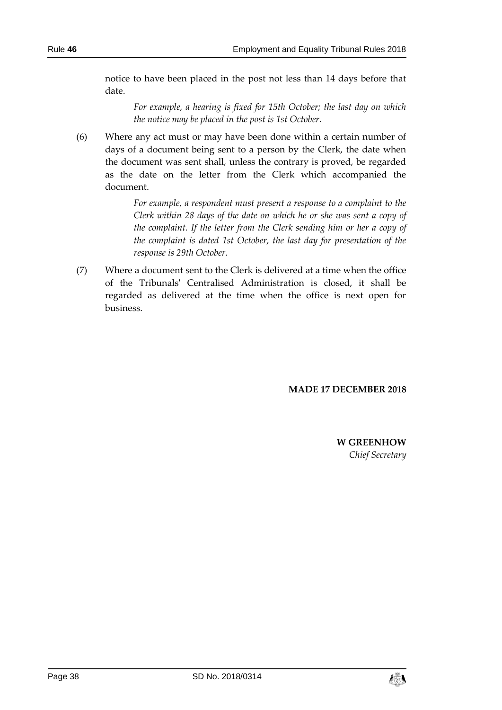notice to have been placed in the post not less than 14 days before that date.

*For example, a hearing is fixed for 15th October; the last day on which the notice may be placed in the post is 1st October.*

(6) Where any act must or may have been done within a certain number of days of a document being sent to a person by the Clerk, the date when the document was sent shall, unless the contrary is proved, be regarded as the date on the letter from the Clerk which accompanied the document.

> *For example, a respondent must present a response to a complaint to the Clerk within 28 days of the date on which he or she was sent a copy of the complaint. If the letter from the Clerk sending him or her a copy of the complaint is dated 1st October, the last day for presentation of the response is 29th October.*

(7) Where a document sent to the Clerk is delivered at a time when the office of the Tribunals' Centralised Administration is closed, it shall be regarded as delivered at the time when the office is next open for business.

#### **MADE 17 DECEMBER 2018**

**W GREENHOW** *Chief Secretary*